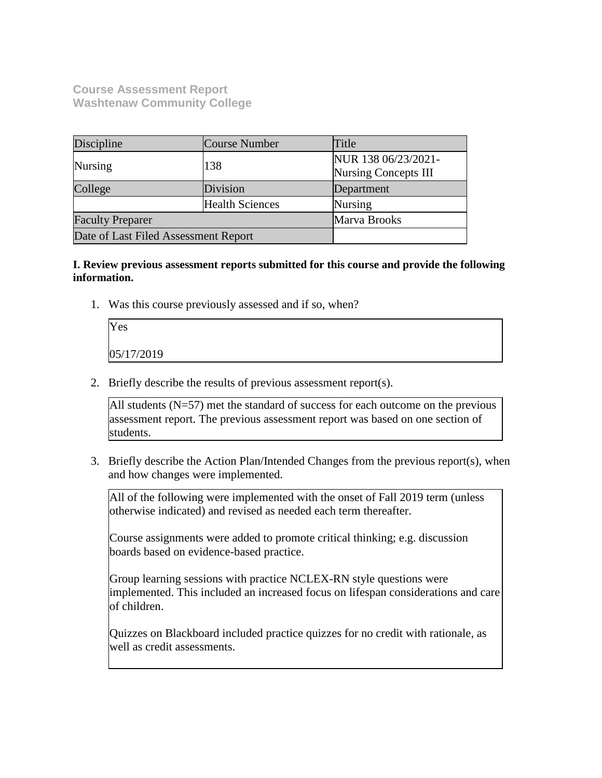**Course Assessment Report Washtenaw Community College**

| Discipline                           | Course Number          | Title                                              |
|--------------------------------------|------------------------|----------------------------------------------------|
| <b>Nursing</b>                       | 138                    | NUR 138 06/23/2021-<br><b>Nursing Concepts III</b> |
| College                              | Division               | Department                                         |
|                                      | <b>Health Sciences</b> | Nursing                                            |
| <b>Faculty Preparer</b>              |                        | Marva Brooks                                       |
| Date of Last Filed Assessment Report |                        |                                                    |

### **I. Review previous assessment reports submitted for this course and provide the following information.**

1. Was this course previously assessed and if so, when?

| Yes        |  |  |
|------------|--|--|
| 05/17/2019 |  |  |

2. Briefly describe the results of previous assessment report(s).

All students (N=57) met the standard of success for each outcome on the previous assessment report. The previous assessment report was based on one section of students.

3. Briefly describe the Action Plan/Intended Changes from the previous report(s), when and how changes were implemented.

All of the following were implemented with the onset of Fall 2019 term (unless otherwise indicated) and revised as needed each term thereafter.

Course assignments were added to promote critical thinking; e.g. discussion boards based on evidence-based practice.

Group learning sessions with practice NCLEX-RN style questions were implemented. This included an increased focus on lifespan considerations and care of children.

Quizzes on Blackboard included practice quizzes for no credit with rationale, as well as credit assessments.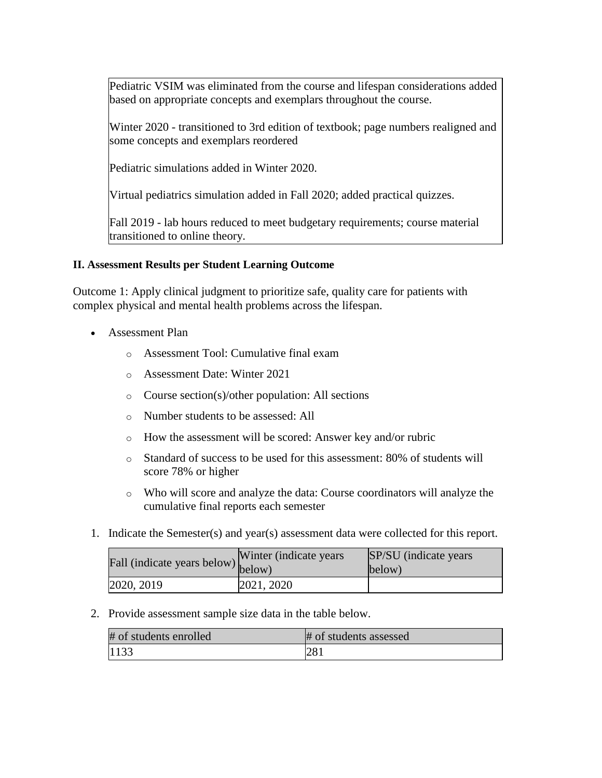Pediatric VSIM was eliminated from the course and lifespan considerations added based on appropriate concepts and exemplars throughout the course.

Winter 2020 - transitioned to 3rd edition of textbook; page numbers realigned and some concepts and exemplars reordered

Pediatric simulations added in Winter 2020.

Virtual pediatrics simulation added in Fall 2020; added practical quizzes.

Fall 2019 - lab hours reduced to meet budgetary requirements; course material transitioned to online theory.

# **II. Assessment Results per Student Learning Outcome**

Outcome 1: Apply clinical judgment to prioritize safe, quality care for patients with complex physical and mental health problems across the lifespan.

- Assessment Plan
	- o Assessment Tool: Cumulative final exam
	- o Assessment Date: Winter 2021
	- o Course section(s)/other population: All sections
	- o Number students to be assessed: All
	- o How the assessment will be scored: Answer key and/or rubric
	- o Standard of success to be used for this assessment: 80% of students will score 78% or higher
	- o Who will score and analyze the data: Course coordinators will analyze the cumulative final reports each semester
- 1. Indicate the Semester(s) and year(s) assessment data were collected for this report.

| Fall (indicate years below) below) | Winter (indicate years) | SP/SU (indicate years)<br>below) |
|------------------------------------|-------------------------|----------------------------------|
| 2020, 2019                         | 2021, 2020              |                                  |

2. Provide assessment sample size data in the table below.

| # of students enrolled | # of students assessed |
|------------------------|------------------------|
| 1133                   |                        |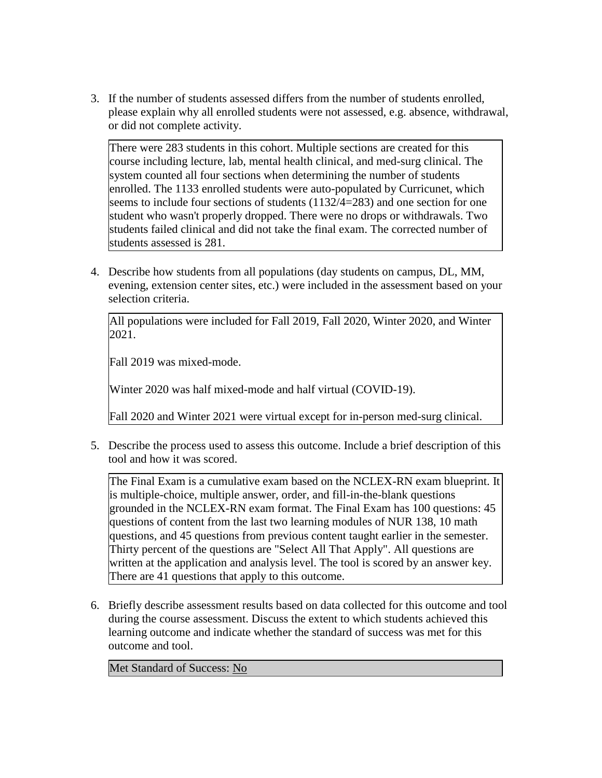3. If the number of students assessed differs from the number of students enrolled, please explain why all enrolled students were not assessed, e.g. absence, withdrawal, or did not complete activity.

There were 283 students in this cohort. Multiple sections are created for this course including lecture, lab, mental health clinical, and med-surg clinical. The system counted all four sections when determining the number of students enrolled. The 1133 enrolled students were auto-populated by Curricunet, which seems to include four sections of students (1132/4=283) and one section for one student who wasn't properly dropped. There were no drops or withdrawals. Two students failed clinical and did not take the final exam. The corrected number of students assessed is 281.

4. Describe how students from all populations (day students on campus, DL, MM, evening, extension center sites, etc.) were included in the assessment based on your selection criteria.

All populations were included for Fall 2019, Fall 2020, Winter 2020, and Winter 2021.

Fall 2019 was mixed-mode.

Winter 2020 was half mixed-mode and half virtual (COVID-19).

Fall 2020 and Winter 2021 were virtual except for in-person med-surg clinical.

5. Describe the process used to assess this outcome. Include a brief description of this tool and how it was scored.

The Final Exam is a cumulative exam based on the NCLEX-RN exam blueprint. It is multiple-choice, multiple answer, order, and fill-in-the-blank questions grounded in the NCLEX-RN exam format. The Final Exam has 100 questions: 45 questions of content from the last two learning modules of NUR 138, 10 math questions, and 45 questions from previous content taught earlier in the semester. Thirty percent of the questions are "Select All That Apply". All questions are written at the application and analysis level. The tool is scored by an answer key. There are 41 questions that apply to this outcome.

6. Briefly describe assessment results based on data collected for this outcome and tool during the course assessment. Discuss the extent to which students achieved this learning outcome and indicate whether the standard of success was met for this outcome and tool.

Met Standard of Success: No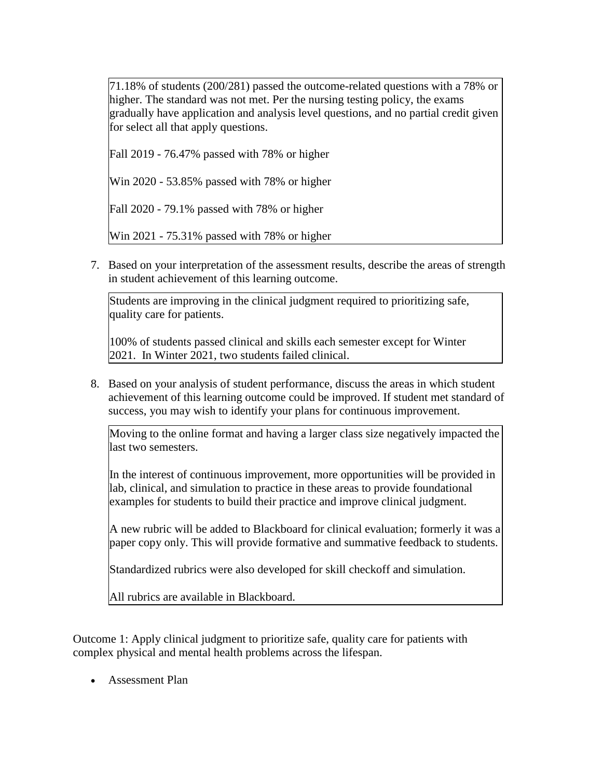71.18% of students (200/281) passed the outcome-related questions with a 78% or higher. The standard was not met. Per the nursing testing policy, the exams gradually have application and analysis level questions, and no partial credit given for select all that apply questions.

Fall 2019 - 76.47% passed with 78% or higher

Win 2020 - 53.85% passed with 78% or higher

Fall 2020 - 79.1% passed with 78% or higher

Win 2021 - 75.31% passed with 78% or higher

7. Based on your interpretation of the assessment results, describe the areas of strength in student achievement of this learning outcome.

Students are improving in the clinical judgment required to prioritizing safe, quality care for patients.

100% of students passed clinical and skills each semester except for Winter 2021. In Winter 2021, two students failed clinical.

8. Based on your analysis of student performance, discuss the areas in which student achievement of this learning outcome could be improved. If student met standard of success, you may wish to identify your plans for continuous improvement.

Moving to the online format and having a larger class size negatively impacted the last two semesters.

In the interest of continuous improvement, more opportunities will be provided in lab, clinical, and simulation to practice in these areas to provide foundational examples for students to build their practice and improve clinical judgment.

A new rubric will be added to Blackboard for clinical evaluation; formerly it was a paper copy only. This will provide formative and summative feedback to students.

Standardized rubrics were also developed for skill checkoff and simulation.

All rubrics are available in Blackboard.

Outcome 1: Apply clinical judgment to prioritize safe, quality care for patients with complex physical and mental health problems across the lifespan.

Assessment Plan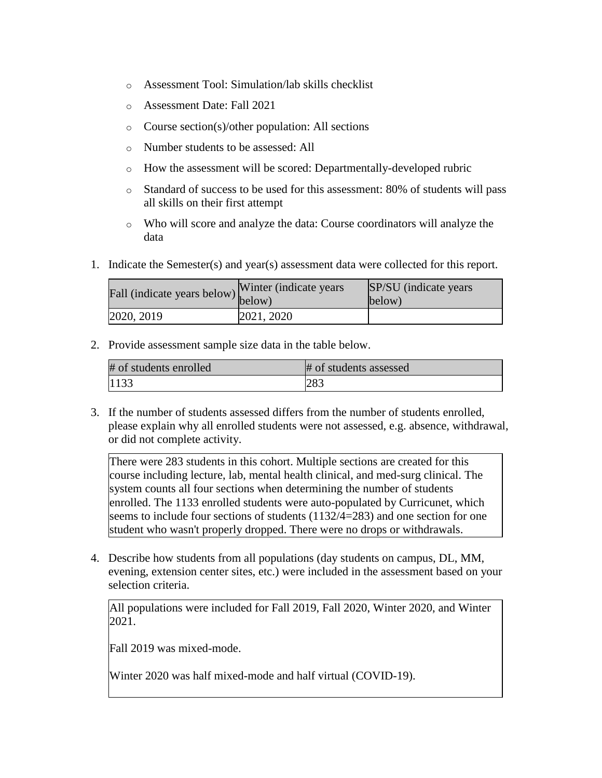- o Assessment Tool: Simulation/lab skills checklist
- o Assessment Date: Fall 2021
- o Course section(s)/other population: All sections
- o Number students to be assessed: All
- o How the assessment will be scored: Departmentally-developed rubric
- o Standard of success to be used for this assessment: 80% of students will pass all skills on their first attempt
- o Who will score and analyze the data: Course coordinators will analyze the data
- 1. Indicate the Semester(s) and year(s) assessment data were collected for this report.

| Fall (indicate years below) below) | Winter (indicate years) | SP/SU (indicate years)<br>below) |
|------------------------------------|-------------------------|----------------------------------|
| 2020, 2019                         | 2021, 2020              |                                  |

2. Provide assessment sample size data in the table below.

| # of students enrolled | # of students assessed |
|------------------------|------------------------|
| 1133                   | 283                    |

3. If the number of students assessed differs from the number of students enrolled, please explain why all enrolled students were not assessed, e.g. absence, withdrawal, or did not complete activity.

There were 283 students in this cohort. Multiple sections are created for this course including lecture, lab, mental health clinical, and med-surg clinical. The system counts all four sections when determining the number of students enrolled. The 1133 enrolled students were auto-populated by Curricunet, which seems to include four sections of students (1132/4=283) and one section for one student who wasn't properly dropped. There were no drops or withdrawals.

4. Describe how students from all populations (day students on campus, DL, MM, evening, extension center sites, etc.) were included in the assessment based on your selection criteria.

All populations were included for Fall 2019, Fall 2020, Winter 2020, and Winter 2021.

Fall 2019 was mixed-mode.

Winter 2020 was half mixed-mode and half virtual (COVID-19).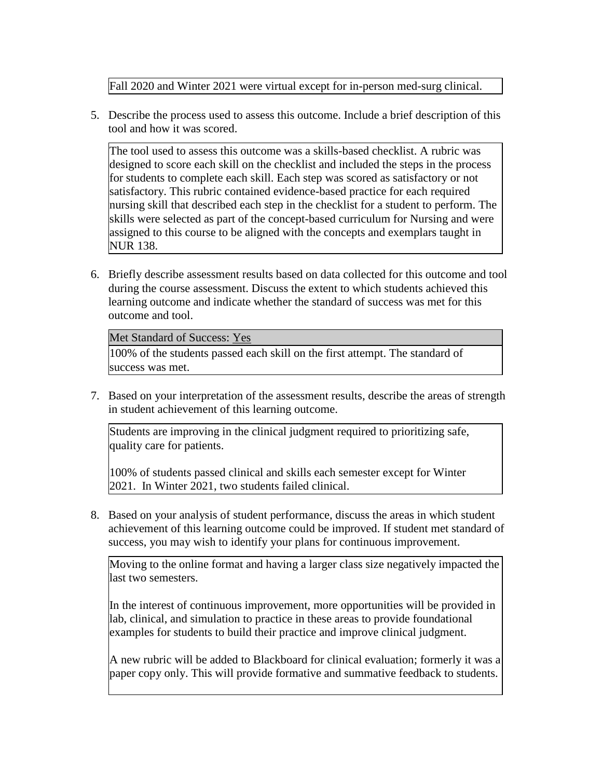Fall 2020 and Winter 2021 were virtual except for in-person med-surg clinical.

5. Describe the process used to assess this outcome. Include a brief description of this tool and how it was scored.

The tool used to assess this outcome was a skills-based checklist. A rubric was designed to score each skill on the checklist and included the steps in the process for students to complete each skill. Each step was scored as satisfactory or not satisfactory. This rubric contained evidence-based practice for each required nursing skill that described each step in the checklist for a student to perform. The skills were selected as part of the concept-based curriculum for Nursing and were assigned to this course to be aligned with the concepts and exemplars taught in NUR 138.

6. Briefly describe assessment results based on data collected for this outcome and tool during the course assessment. Discuss the extent to which students achieved this learning outcome and indicate whether the standard of success was met for this outcome and tool.

Met Standard of Success: Yes

100% of the students passed each skill on the first attempt. The standard of success was met.

7. Based on your interpretation of the assessment results, describe the areas of strength in student achievement of this learning outcome.

Students are improving in the clinical judgment required to prioritizing safe, quality care for patients.

100% of students passed clinical and skills each semester except for Winter 2021. In Winter 2021, two students failed clinical.

8. Based on your analysis of student performance, discuss the areas in which student achievement of this learning outcome could be improved. If student met standard of success, you may wish to identify your plans for continuous improvement.

Moving to the online format and having a larger class size negatively impacted the last two semesters.

In the interest of continuous improvement, more opportunities will be provided in lab, clinical, and simulation to practice in these areas to provide foundational examples for students to build their practice and improve clinical judgment.

A new rubric will be added to Blackboard for clinical evaluation; formerly it was a paper copy only. This will provide formative and summative feedback to students.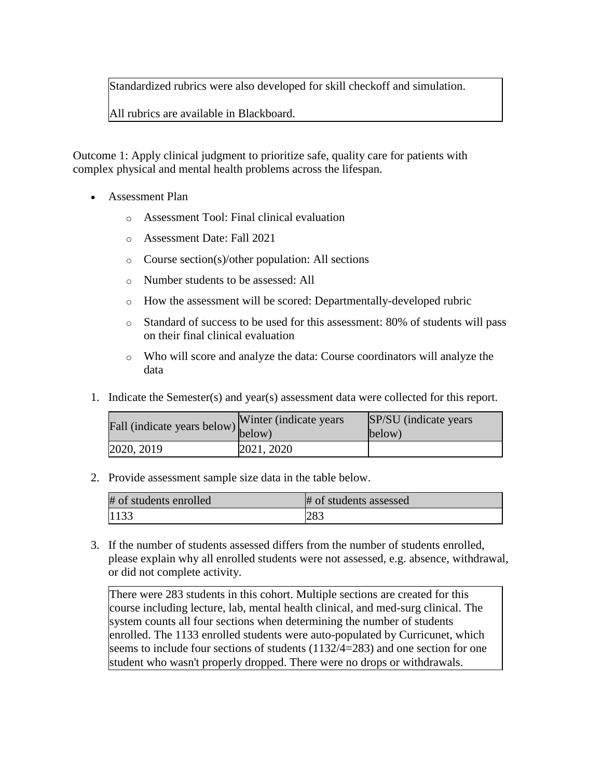Standardized rubrics were also developed for skill checkoff and simulation.

All rubrics are available in Blackboard.

Outcome 1: Apply clinical judgment to prioritize safe, quality care for patients with complex physical and mental health problems across the lifespan.

- Assessment Plan
	- o Assessment Tool: Final clinical evaluation
	- o Assessment Date: Fall 2021
	- o Course section(s)/other population: All sections
	- o Number students to be assessed: All
	- o How the assessment will be scored: Departmentally-developed rubric
	- o Standard of success to be used for this assessment: 80% of students will pass on their final clinical evaluation
	- o Who will score and analyze the data: Course coordinators will analyze the data
- 1. Indicate the Semester(s) and year(s) assessment data were collected for this report.

| Fall (indicate years below) below) | Winter (indicate years) | SP/SU (indicate years)<br>below) |
|------------------------------------|-------------------------|----------------------------------|
| 2020, 2019                         | 2021, 2020              |                                  |

2. Provide assessment sample size data in the table below.

| # of students enrolled | # of students assessed |
|------------------------|------------------------|
| 1133                   | 283                    |

3. If the number of students assessed differs from the number of students enrolled, please explain why all enrolled students were not assessed, e.g. absence, withdrawal, or did not complete activity.

There were 283 students in this cohort. Multiple sections are created for this course including lecture, lab, mental health clinical, and med-surg clinical. The system counts all four sections when determining the number of students enrolled. The 1133 enrolled students were auto-populated by Curricunet, which seems to include four sections of students (1132/4=283) and one section for one student who wasn't properly dropped. There were no drops or withdrawals.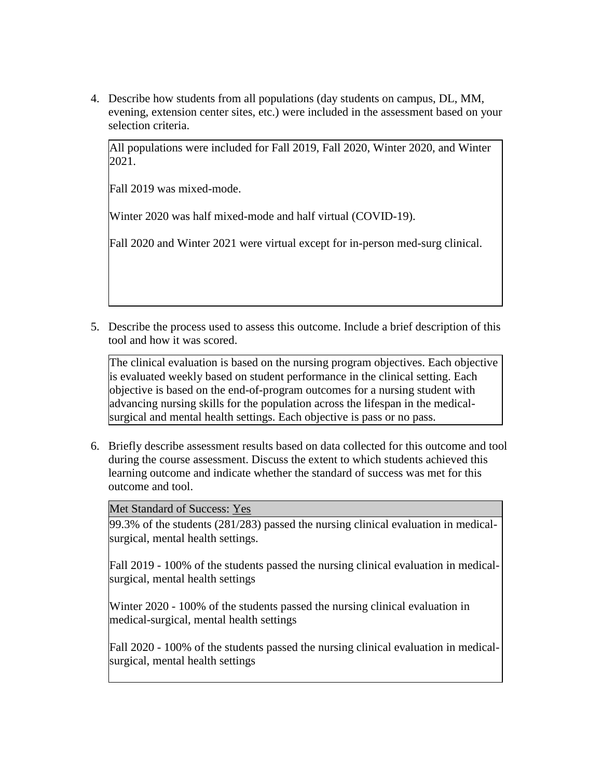4. Describe how students from all populations (day students on campus, DL, MM, evening, extension center sites, etc.) were included in the assessment based on your selection criteria.

All populations were included for Fall 2019, Fall 2020, Winter 2020, and Winter 2021.

Fall 2019 was mixed-mode.

Winter 2020 was half mixed-mode and half virtual (COVID-19).

Fall 2020 and Winter 2021 were virtual except for in-person med-surg clinical.

5. Describe the process used to assess this outcome. Include a brief description of this tool and how it was scored.

The clinical evaluation is based on the nursing program objectives. Each objective is evaluated weekly based on student performance in the clinical setting. Each objective is based on the end-of-program outcomes for a nursing student with advancing nursing skills for the population across the lifespan in the medicalsurgical and mental health settings. Each objective is pass or no pass.

6. Briefly describe assessment results based on data collected for this outcome and tool during the course assessment. Discuss the extent to which students achieved this learning outcome and indicate whether the standard of success was met for this outcome and tool.

### Met Standard of Success: Yes

99.3% of the students (281/283) passed the nursing clinical evaluation in medicalsurgical, mental health settings.

Fall 2019 - 100% of the students passed the nursing clinical evaluation in medicalsurgical, mental health settings

Winter 2020 - 100% of the students passed the nursing clinical evaluation in medical-surgical, mental health settings

Fall 2020 - 100% of the students passed the nursing clinical evaluation in medicalsurgical, mental health settings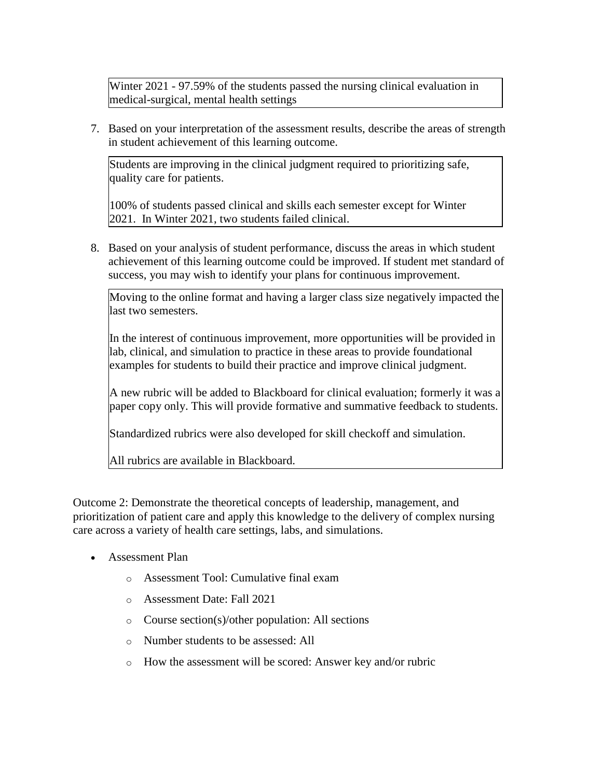Winter 2021 - 97.59% of the students passed the nursing clinical evaluation in medical-surgical, mental health settings

7. Based on your interpretation of the assessment results, describe the areas of strength in student achievement of this learning outcome.

Students are improving in the clinical judgment required to prioritizing safe, quality care for patients.

100% of students passed clinical and skills each semester except for Winter 2021. In Winter 2021, two students failed clinical.

8. Based on your analysis of student performance, discuss the areas in which student achievement of this learning outcome could be improved. If student met standard of success, you may wish to identify your plans for continuous improvement.

Moving to the online format and having a larger class size negatively impacted the last two semesters.

In the interest of continuous improvement, more opportunities will be provided in lab, clinical, and simulation to practice in these areas to provide foundational examples for students to build their practice and improve clinical judgment.

A new rubric will be added to Blackboard for clinical evaluation; formerly it was a paper copy only. This will provide formative and summative feedback to students.

Standardized rubrics were also developed for skill checkoff and simulation.

All rubrics are available in Blackboard.

Outcome 2: Demonstrate the theoretical concepts of leadership, management, and prioritization of patient care and apply this knowledge to the delivery of complex nursing care across a variety of health care settings, labs, and simulations.

- Assessment Plan
	- o Assessment Tool: Cumulative final exam
	- o Assessment Date: Fall 2021
	- o Course section(s)/other population: All sections
	- o Number students to be assessed: All
	- o How the assessment will be scored: Answer key and/or rubric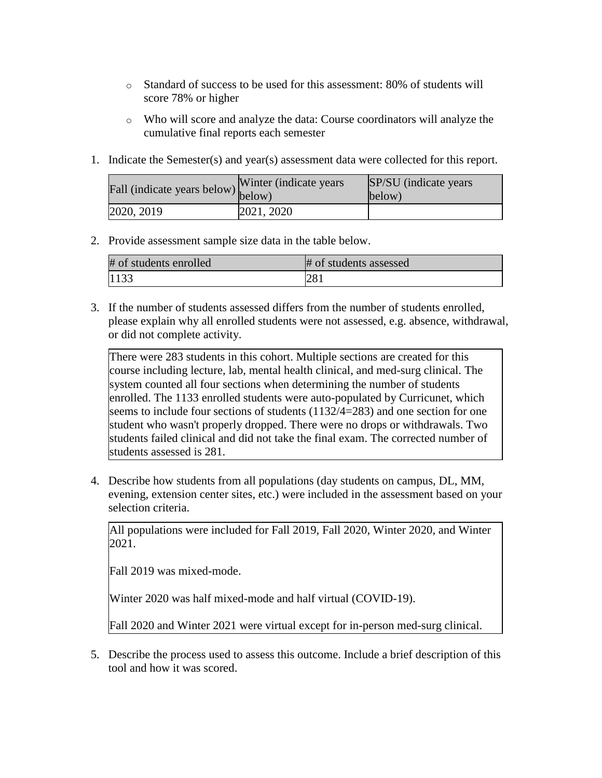- o Standard of success to be used for this assessment: 80% of students will score 78% or higher
- o Who will score and analyze the data: Course coordinators will analyze the cumulative final reports each semester
- 1. Indicate the Semester(s) and year(s) assessment data were collected for this report.

| rall (indicate years below) below) | Winter (indicate years) | SP/SU (indicate years)<br>below) |
|------------------------------------|-------------------------|----------------------------------|
| 2020, 2019                         | 2021, 2020              |                                  |

### 2. Provide assessment sample size data in the table below.

| # of students enrolled | # of students assessed |
|------------------------|------------------------|
| 1133                   | 281                    |

3. If the number of students assessed differs from the number of students enrolled, please explain why all enrolled students were not assessed, e.g. absence, withdrawal, or did not complete activity.

There were 283 students in this cohort. Multiple sections are created for this course including lecture, lab, mental health clinical, and med-surg clinical. The system counted all four sections when determining the number of students enrolled. The 1133 enrolled students were auto-populated by Curricunet, which seems to include four sections of students (1132/4=283) and one section for one student who wasn't properly dropped. There were no drops or withdrawals. Two students failed clinical and did not take the final exam. The corrected number of students assessed is 281.

4. Describe how students from all populations (day students on campus, DL, MM, evening, extension center sites, etc.) were included in the assessment based on your selection criteria.

All populations were included for Fall 2019, Fall 2020, Winter 2020, and Winter 2021.

Fall 2019 was mixed-mode.

Winter 2020 was half mixed-mode and half virtual (COVID-19).

Fall 2020 and Winter 2021 were virtual except for in-person med-surg clinical.

5. Describe the process used to assess this outcome. Include a brief description of this tool and how it was scored.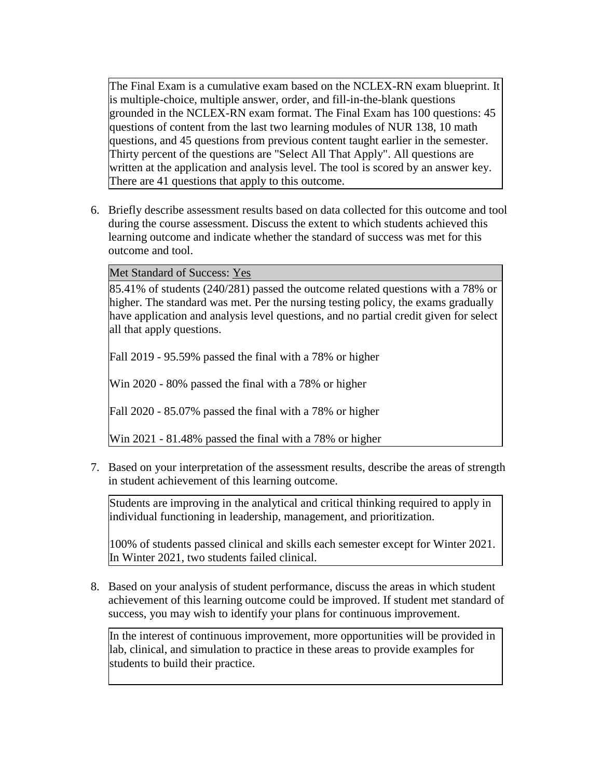The Final Exam is a cumulative exam based on the NCLEX-RN exam blueprint. It is multiple-choice, multiple answer, order, and fill-in-the-blank questions grounded in the NCLEX-RN exam format. The Final Exam has 100 questions: 45 questions of content from the last two learning modules of NUR 138, 10 math questions, and 45 questions from previous content taught earlier in the semester. Thirty percent of the questions are "Select All That Apply". All questions are written at the application and analysis level. The tool is scored by an answer key. There are 41 questions that apply to this outcome.

6. Briefly describe assessment results based on data collected for this outcome and tool during the course assessment. Discuss the extent to which students achieved this learning outcome and indicate whether the standard of success was met for this outcome and tool.

Met Standard of Success: Yes

85.41% of students (240/281) passed the outcome related questions with a 78% or higher. The standard was met. Per the nursing testing policy, the exams gradually have application and analysis level questions, and no partial credit given for select all that apply questions.

Fall 2019 - 95.59% passed the final with a 78% or higher

Win 2020 - 80% passed the final with a 78% or higher

Fall 2020 - 85.07% passed the final with a 78% or higher

Win 2021 - 81.48% passed the final with a 78% or higher

7. Based on your interpretation of the assessment results, describe the areas of strength in student achievement of this learning outcome.

Students are improving in the analytical and critical thinking required to apply in individual functioning in leadership, management, and prioritization.

100% of students passed clinical and skills each semester except for Winter 2021. In Winter 2021, two students failed clinical.

8. Based on your analysis of student performance, discuss the areas in which student achievement of this learning outcome could be improved. If student met standard of success, you may wish to identify your plans for continuous improvement.

In the interest of continuous improvement, more opportunities will be provided in lab, clinical, and simulation to practice in these areas to provide examples for students to build their practice.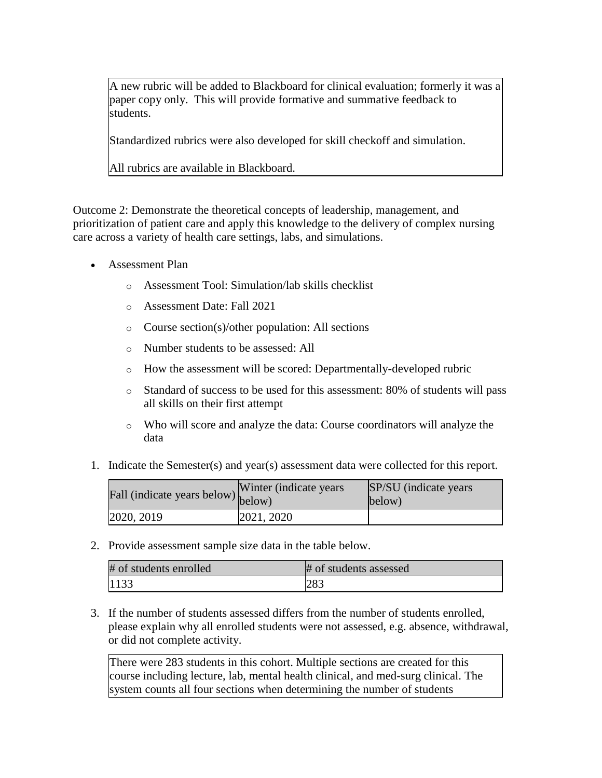A new rubric will be added to Blackboard for clinical evaluation; formerly it was a paper copy only. This will provide formative and summative feedback to students.

Standardized rubrics were also developed for skill checkoff and simulation.

All rubrics are available in Blackboard.

Outcome 2: Demonstrate the theoretical concepts of leadership, management, and prioritization of patient care and apply this knowledge to the delivery of complex nursing care across a variety of health care settings, labs, and simulations.

- Assessment Plan
	- o Assessment Tool: Simulation/lab skills checklist
	- o Assessment Date: Fall 2021
	- o Course section(s)/other population: All sections
	- o Number students to be assessed: All
	- o How the assessment will be scored: Departmentally-developed rubric
	- o Standard of success to be used for this assessment: 80% of students will pass all skills on their first attempt
	- o Who will score and analyze the data: Course coordinators will analyze the data
- 1. Indicate the Semester(s) and year(s) assessment data were collected for this report.

| Fall (indicate years below) below) | Winter (indicate years) | SP/SU (indicate years)<br>below) |
|------------------------------------|-------------------------|----------------------------------|
| 2020, 2019                         | 2021, 2020              |                                  |

2. Provide assessment sample size data in the table below.

| # of students enrolled | # of students assessed |
|------------------------|------------------------|
| 1133                   | 283                    |

3. If the number of students assessed differs from the number of students enrolled, please explain why all enrolled students were not assessed, e.g. absence, withdrawal, or did not complete activity.

There were 283 students in this cohort. Multiple sections are created for this course including lecture, lab, mental health clinical, and med-surg clinical. The system counts all four sections when determining the number of students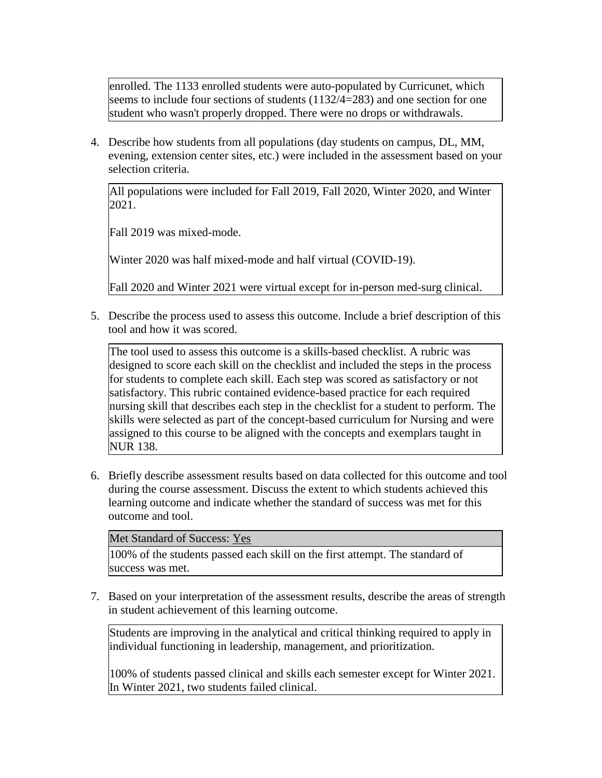enrolled. The 1133 enrolled students were auto-populated by Curricunet, which seems to include four sections of students (1132/4=283) and one section for one student who wasn't properly dropped. There were no drops or withdrawals.

4. Describe how students from all populations (day students on campus, DL, MM, evening, extension center sites, etc.) were included in the assessment based on your selection criteria.

All populations were included for Fall 2019, Fall 2020, Winter 2020, and Winter 2021.

Fall 2019 was mixed-mode.

Winter 2020 was half mixed-mode and half virtual (COVID-19).

Fall 2020 and Winter 2021 were virtual except for in-person med-surg clinical.

5. Describe the process used to assess this outcome. Include a brief description of this tool and how it was scored.

The tool used to assess this outcome is a skills-based checklist. A rubric was designed to score each skill on the checklist and included the steps in the process for students to complete each skill. Each step was scored as satisfactory or not satisfactory. This rubric contained evidence-based practice for each required nursing skill that describes each step in the checklist for a student to perform. The skills were selected as part of the concept-based curriculum for Nursing and were assigned to this course to be aligned with the concepts and exemplars taught in NUR 138.

6. Briefly describe assessment results based on data collected for this outcome and tool during the course assessment. Discuss the extent to which students achieved this learning outcome and indicate whether the standard of success was met for this outcome and tool.

Met Standard of Success: Yes

100% of the students passed each skill on the first attempt. The standard of success was met.

7. Based on your interpretation of the assessment results, describe the areas of strength in student achievement of this learning outcome.

Students are improving in the analytical and critical thinking required to apply in individual functioning in leadership, management, and prioritization.

100% of students passed clinical and skills each semester except for Winter 2021. In Winter 2021, two students failed clinical.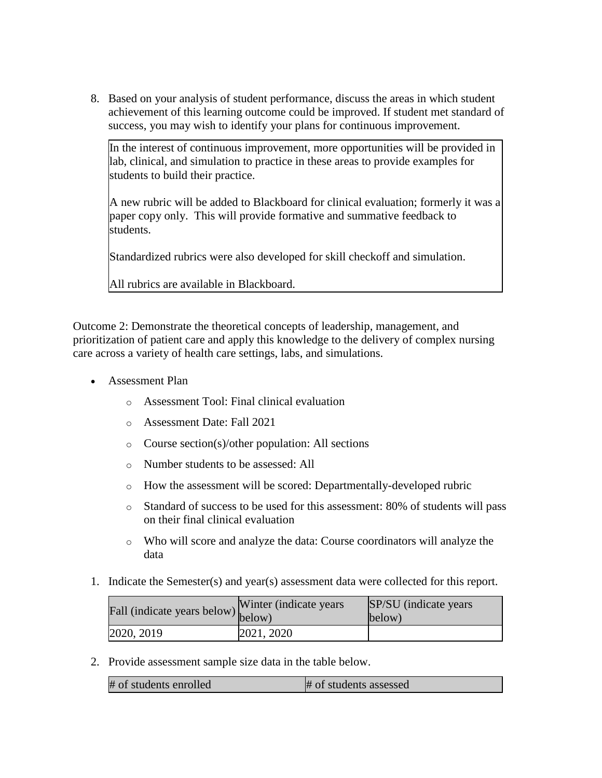8. Based on your analysis of student performance, discuss the areas in which student achievement of this learning outcome could be improved. If student met standard of success, you may wish to identify your plans for continuous improvement.

In the interest of continuous improvement, more opportunities will be provided in lab, clinical, and simulation to practice in these areas to provide examples for students to build their practice.

A new rubric will be added to Blackboard for clinical evaluation; formerly it was a paper copy only. This will provide formative and summative feedback to students.

Standardized rubrics were also developed for skill checkoff and simulation.

All rubrics are available in Blackboard.

Outcome 2: Demonstrate the theoretical concepts of leadership, management, and prioritization of patient care and apply this knowledge to the delivery of complex nursing care across a variety of health care settings, labs, and simulations.

- Assessment Plan
	- o Assessment Tool: Final clinical evaluation
	- o Assessment Date: Fall 2021
	- o Course section(s)/other population: All sections
	- o Number students to be assessed: All
	- o How the assessment will be scored: Departmentally-developed rubric
	- o Standard of success to be used for this assessment: 80% of students will pass on their final clinical evaluation
	- o Who will score and analyze the data: Course coordinators will analyze the data
- 1. Indicate the Semester(s) and year(s) assessment data were collected for this report.

| rall (indicate years below) below) | Winter (indicate years) | SP/SU (indicate years)<br>below) |
|------------------------------------|-------------------------|----------------------------------|
| 2020, 2019                         | 2021, 2020              |                                  |

2. Provide assessment sample size data in the table below.

| # of students enrolled | # of students assessed |
|------------------------|------------------------|
|------------------------|------------------------|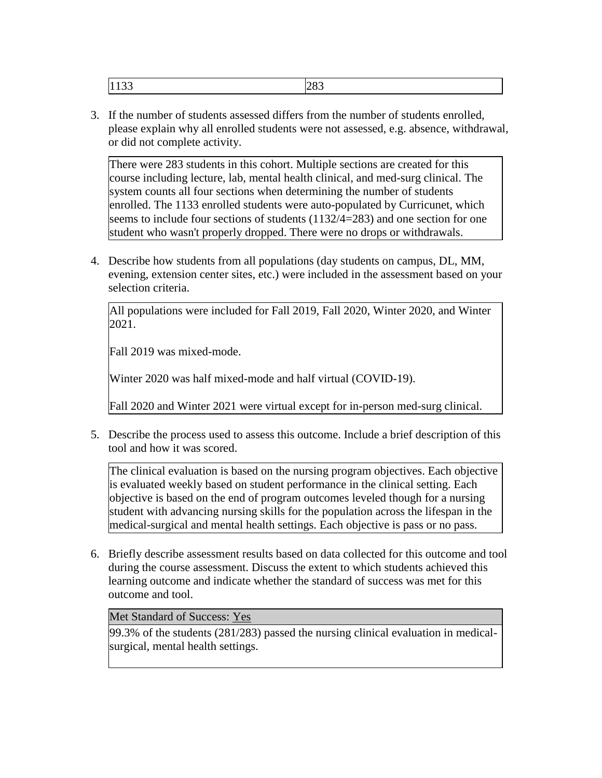| l 4<br>11 T | -00 |
|-------------|-----|
|-------------|-----|

3. If the number of students assessed differs from the number of students enrolled, please explain why all enrolled students were not assessed, e.g. absence, withdrawal, or did not complete activity.

There were 283 students in this cohort. Multiple sections are created for this course including lecture, lab, mental health clinical, and med-surg clinical. The system counts all four sections when determining the number of students enrolled. The 1133 enrolled students were auto-populated by Curricunet, which seems to include four sections of students (1132/4=283) and one section for one student who wasn't properly dropped. There were no drops or withdrawals.

4. Describe how students from all populations (day students on campus, DL, MM, evening, extension center sites, etc.) were included in the assessment based on your selection criteria.

All populations were included for Fall 2019, Fall 2020, Winter 2020, and Winter 2021.

Fall 2019 was mixed-mode.

Winter 2020 was half mixed-mode and half virtual (COVID-19).

Fall 2020 and Winter 2021 were virtual except for in-person med-surg clinical.

5. Describe the process used to assess this outcome. Include a brief description of this tool and how it was scored.

The clinical evaluation is based on the nursing program objectives. Each objective is evaluated weekly based on student performance in the clinical setting. Each objective is based on the end of program outcomes leveled though for a nursing student with advancing nursing skills for the population across the lifespan in the medical-surgical and mental health settings. Each objective is pass or no pass.

6. Briefly describe assessment results based on data collected for this outcome and tool during the course assessment. Discuss the extent to which students achieved this learning outcome and indicate whether the standard of success was met for this outcome and tool.

### Met Standard of Success: Yes

99.3% of the students (281/283) passed the nursing clinical evaluation in medicalsurgical, mental health settings.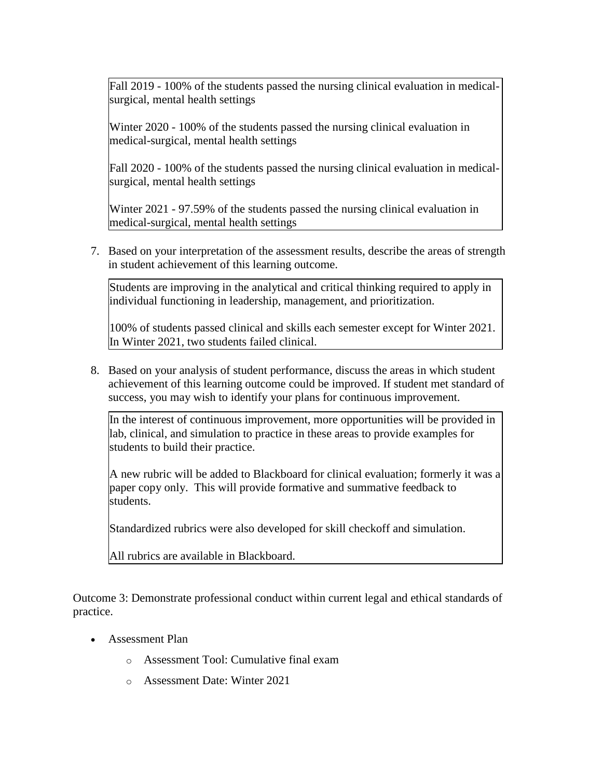Fall 2019 - 100% of the students passed the nursing clinical evaluation in medicalsurgical, mental health settings

Winter 2020 - 100% of the students passed the nursing clinical evaluation in medical-surgical, mental health settings

Fall 2020 - 100% of the students passed the nursing clinical evaluation in medicalsurgical, mental health settings

Winter 2021 - 97.59% of the students passed the nursing clinical evaluation in medical-surgical, mental health settings

7. Based on your interpretation of the assessment results, describe the areas of strength in student achievement of this learning outcome.

Students are improving in the analytical and critical thinking required to apply in individual functioning in leadership, management, and prioritization.

100% of students passed clinical and skills each semester except for Winter 2021. In Winter 2021, two students failed clinical.

8. Based on your analysis of student performance, discuss the areas in which student achievement of this learning outcome could be improved. If student met standard of success, you may wish to identify your plans for continuous improvement.

In the interest of continuous improvement, more opportunities will be provided in lab, clinical, and simulation to practice in these areas to provide examples for students to build their practice.

A new rubric will be added to Blackboard for clinical evaluation; formerly it was a paper copy only. This will provide formative and summative feedback to students.

Standardized rubrics were also developed for skill checkoff and simulation.

All rubrics are available in Blackboard.

Outcome 3: Demonstrate professional conduct within current legal and ethical standards of practice.

- Assessment Plan
	- o Assessment Tool: Cumulative final exam
	- o Assessment Date: Winter 2021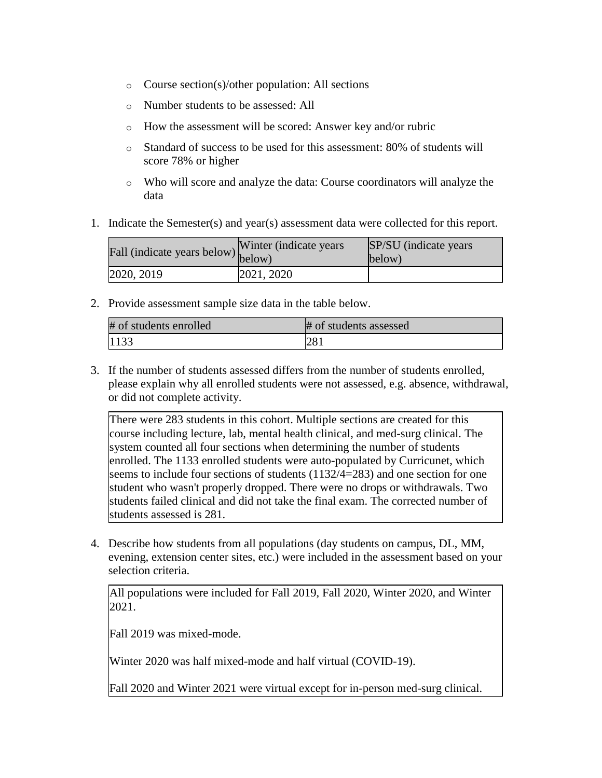- o Course section(s)/other population: All sections
- o Number students to be assessed: All
- o How the assessment will be scored: Answer key and/or rubric
- o Standard of success to be used for this assessment: 80% of students will score 78% or higher
- o Who will score and analyze the data: Course coordinators will analyze the data
- 1. Indicate the Semester(s) and year(s) assessment data were collected for this report.

| Fall (indicate years below) below) | Winter (indicate years) | SP/SU (indicate years)<br>below) |
|------------------------------------|-------------------------|----------------------------------|
| 2020, 2019                         | 2021, 2020              |                                  |

2. Provide assessment sample size data in the table below.

| # of students enrolled | # of students assessed |
|------------------------|------------------------|
| 1133                   |                        |

3. If the number of students assessed differs from the number of students enrolled, please explain why all enrolled students were not assessed, e.g. absence, withdrawal, or did not complete activity.

There were 283 students in this cohort. Multiple sections are created for this course including lecture, lab, mental health clinical, and med-surg clinical. The system counted all four sections when determining the number of students enrolled. The 1133 enrolled students were auto-populated by Curricunet, which seems to include four sections of students (1132/4=283) and one section for one student who wasn't properly dropped. There were no drops or withdrawals. Two students failed clinical and did not take the final exam. The corrected number of students assessed is 281.

4. Describe how students from all populations (day students on campus, DL, MM, evening, extension center sites, etc.) were included in the assessment based on your selection criteria.

All populations were included for Fall 2019, Fall 2020, Winter 2020, and Winter 2021.

Fall 2019 was mixed-mode.

Winter 2020 was half mixed-mode and half virtual (COVID-19).

Fall 2020 and Winter 2021 were virtual except for in-person med-surg clinical.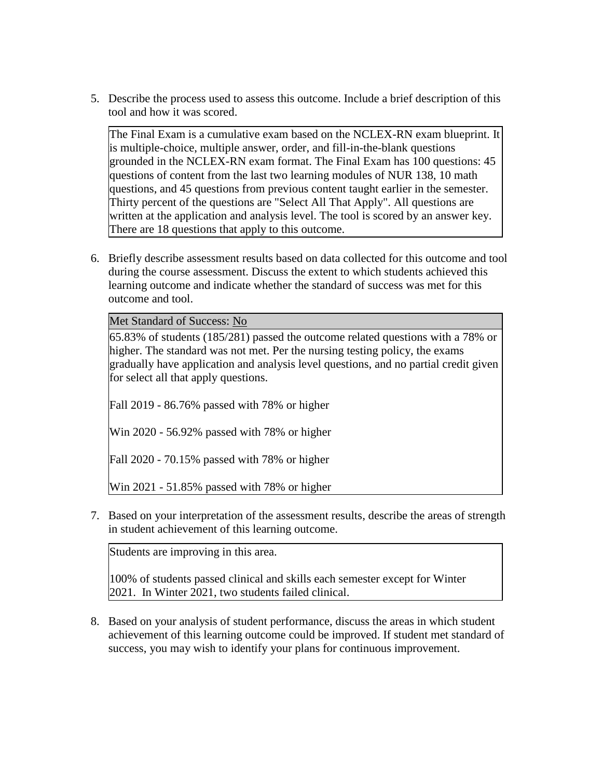5. Describe the process used to assess this outcome. Include a brief description of this tool and how it was scored.

The Final Exam is a cumulative exam based on the NCLEX-RN exam blueprint. It is multiple-choice, multiple answer, order, and fill-in-the-blank questions grounded in the NCLEX-RN exam format. The Final Exam has 100 questions: 45 questions of content from the last two learning modules of NUR 138, 10 math questions, and 45 questions from previous content taught earlier in the semester. Thirty percent of the questions are "Select All That Apply". All questions are written at the application and analysis level. The tool is scored by an answer key. There are 18 questions that apply to this outcome.

6. Briefly describe assessment results based on data collected for this outcome and tool during the course assessment. Discuss the extent to which students achieved this learning outcome and indicate whether the standard of success was met for this outcome and tool.

Met Standard of Success: No

65.83% of students (185/281) passed the outcome related questions with a 78% or higher. The standard was not met. Per the nursing testing policy, the exams gradually have application and analysis level questions, and no partial credit given for select all that apply questions.

Fall 2019 - 86.76% passed with 78% or higher

Win 2020 - 56.92% passed with 78% or higher

Fall 2020 - 70.15% passed with 78% or higher

Win 2021 - 51.85% passed with 78% or higher

7. Based on your interpretation of the assessment results, describe the areas of strength in student achievement of this learning outcome.

Students are improving in this area.

100% of students passed clinical and skills each semester except for Winter 2021. In Winter 2021, two students failed clinical.

8. Based on your analysis of student performance, discuss the areas in which student achievement of this learning outcome could be improved. If student met standard of success, you may wish to identify your plans for continuous improvement.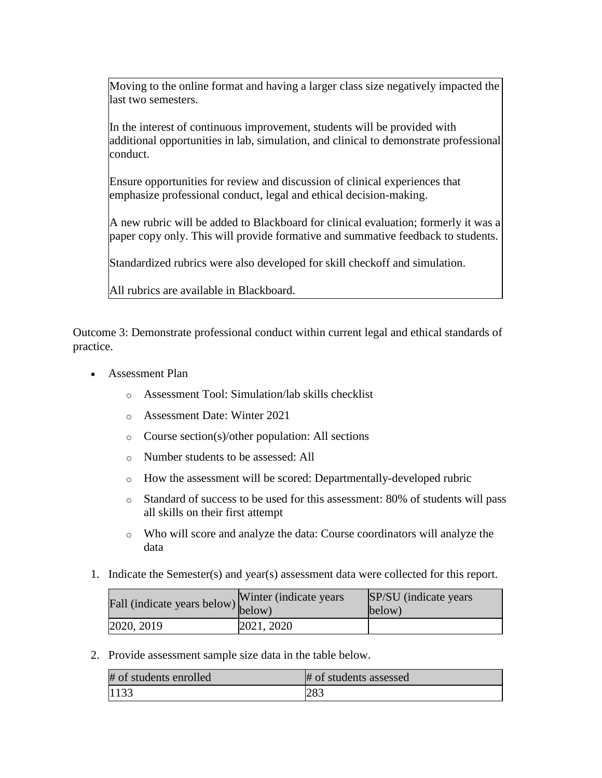Moving to the online format and having a larger class size negatively impacted the last two semesters.

In the interest of continuous improvement, students will be provided with additional opportunities in lab, simulation, and clinical to demonstrate professional conduct.

Ensure opportunities for review and discussion of clinical experiences that emphasize professional conduct, legal and ethical decision-making.

A new rubric will be added to Blackboard for clinical evaluation; formerly it was a paper copy only. This will provide formative and summative feedback to students.

Standardized rubrics were also developed for skill checkoff and simulation.

All rubrics are available in Blackboard.

Outcome 3: Demonstrate professional conduct within current legal and ethical standards of practice.

- Assessment Plan
	- o Assessment Tool: Simulation/lab skills checklist
	- o Assessment Date: Winter 2021
	- o Course section(s)/other population: All sections
	- o Number students to be assessed: All
	- o How the assessment will be scored: Departmentally-developed rubric
	- o Standard of success to be used for this assessment: 80% of students will pass all skills on their first attempt
	- o Who will score and analyze the data: Course coordinators will analyze the data
- 1. Indicate the Semester(s) and year(s) assessment data were collected for this report.

| rall (indicate years below) below) | Winter (indicate years | SP/SU (indicate years)<br>below) |
|------------------------------------|------------------------|----------------------------------|
| 2020, 2019                         | 2021, 2020             |                                  |

2. Provide assessment sample size data in the table below.

| # of students enrolled | # of students assessed |
|------------------------|------------------------|
| 1133                   | 283                    |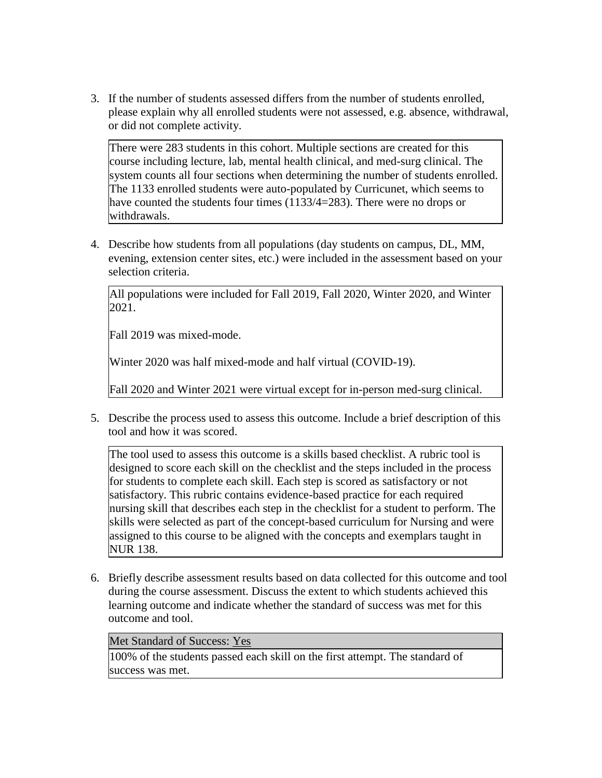3. If the number of students assessed differs from the number of students enrolled, please explain why all enrolled students were not assessed, e.g. absence, withdrawal, or did not complete activity.

There were 283 students in this cohort. Multiple sections are created for this course including lecture, lab, mental health clinical, and med-surg clinical. The system counts all four sections when determining the number of students enrolled. The 1133 enrolled students were auto-populated by Curricunet, which seems to have counted the students four times (1133/4=283). There were no drops or withdrawals.

4. Describe how students from all populations (day students on campus, DL, MM, evening, extension center sites, etc.) were included in the assessment based on your selection criteria.

All populations were included for Fall 2019, Fall 2020, Winter 2020, and Winter 2021.

Fall 2019 was mixed-mode.

Winter 2020 was half mixed-mode and half virtual (COVID-19).

Fall 2020 and Winter 2021 were virtual except for in-person med-surg clinical.

5. Describe the process used to assess this outcome. Include a brief description of this tool and how it was scored.

The tool used to assess this outcome is a skills based checklist. A rubric tool is designed to score each skill on the checklist and the steps included in the process for students to complete each skill. Each step is scored as satisfactory or not satisfactory. This rubric contains evidence-based practice for each required nursing skill that describes each step in the checklist for a student to perform. The skills were selected as part of the concept-based curriculum for Nursing and were assigned to this course to be aligned with the concepts and exemplars taught in NUR 138.

6. Briefly describe assessment results based on data collected for this outcome and tool during the course assessment. Discuss the extent to which students achieved this learning outcome and indicate whether the standard of success was met for this outcome and tool.

# Met Standard of Success: Yes

100% of the students passed each skill on the first attempt. The standard of success was met.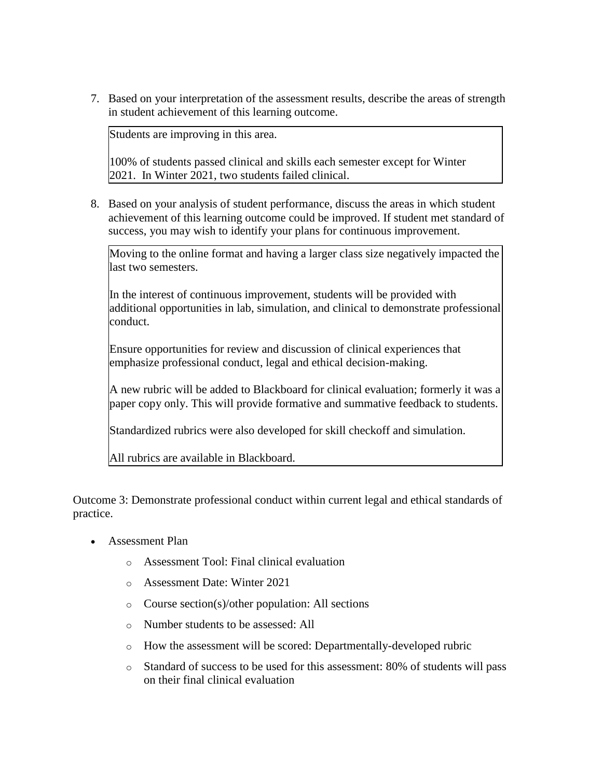7. Based on your interpretation of the assessment results, describe the areas of strength in student achievement of this learning outcome.

Students are improving in this area.

100% of students passed clinical and skills each semester except for Winter 2021. In Winter 2021, two students failed clinical.

8. Based on your analysis of student performance, discuss the areas in which student achievement of this learning outcome could be improved. If student met standard of success, you may wish to identify your plans for continuous improvement.

Moving to the online format and having a larger class size negatively impacted the last two semesters.

In the interest of continuous improvement, students will be provided with additional opportunities in lab, simulation, and clinical to demonstrate professional conduct.

Ensure opportunities for review and discussion of clinical experiences that emphasize professional conduct, legal and ethical decision-making.

A new rubric will be added to Blackboard for clinical evaluation; formerly it was a paper copy only. This will provide formative and summative feedback to students.

Standardized rubrics were also developed for skill checkoff and simulation.

All rubrics are available in Blackboard.

Outcome 3: Demonstrate professional conduct within current legal and ethical standards of practice.

- Assessment Plan
	- o Assessment Tool: Final clinical evaluation
	- o Assessment Date: Winter 2021
	- o Course section(s)/other population: All sections
	- o Number students to be assessed: All
	- o How the assessment will be scored: Departmentally-developed rubric
	- o Standard of success to be used for this assessment: 80% of students will pass on their final clinical evaluation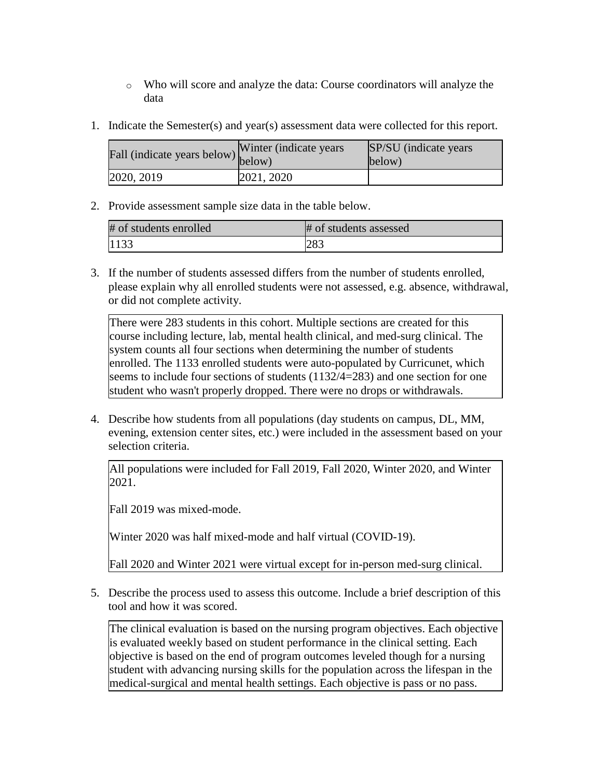- o Who will score and analyze the data: Course coordinators will analyze the data
- 1. Indicate the Semester(s) and year(s) assessment data were collected for this report.

| $\angle$ $\angle$ all (indicate years below) below) | Winter (indicate years) | SP/SU (indicate years)<br>below) |
|-----------------------------------------------------|-------------------------|----------------------------------|
| 2020, 2019                                          | 2021, 2020              |                                  |

2. Provide assessment sample size data in the table below.

| # of students enrolled | # of students assessed |
|------------------------|------------------------|
| 1133                   | 283                    |

3. If the number of students assessed differs from the number of students enrolled, please explain why all enrolled students were not assessed, e.g. absence, withdrawal, or did not complete activity.

There were 283 students in this cohort. Multiple sections are created for this course including lecture, lab, mental health clinical, and med-surg clinical. The system counts all four sections when determining the number of students enrolled. The 1133 enrolled students were auto-populated by Curricunet, which seems to include four sections of students (1132/4=283) and one section for one student who wasn't properly dropped. There were no drops or withdrawals.

4. Describe how students from all populations (day students on campus, DL, MM, evening, extension center sites, etc.) were included in the assessment based on your selection criteria.

All populations were included for Fall 2019, Fall 2020, Winter 2020, and Winter 2021.

Fall 2019 was mixed-mode.

Winter 2020 was half mixed-mode and half virtual (COVID-19).

Fall 2020 and Winter 2021 were virtual except for in-person med-surg clinical.

5. Describe the process used to assess this outcome. Include a brief description of this tool and how it was scored.

The clinical evaluation is based on the nursing program objectives. Each objective is evaluated weekly based on student performance in the clinical setting. Each objective is based on the end of program outcomes leveled though for a nursing student with advancing nursing skills for the population across the lifespan in the medical-surgical and mental health settings. Each objective is pass or no pass.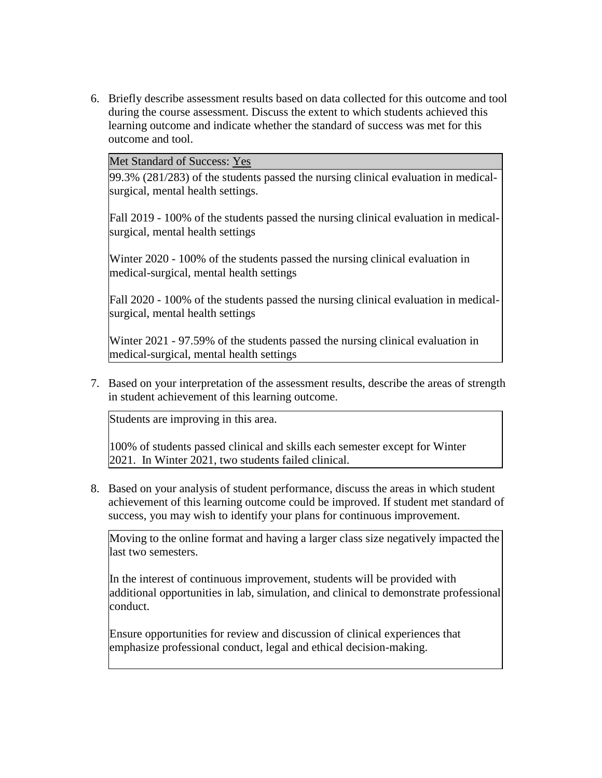6. Briefly describe assessment results based on data collected for this outcome and tool during the course assessment. Discuss the extent to which students achieved this learning outcome and indicate whether the standard of success was met for this outcome and tool.

Met Standard of Success: Yes

99.3% (281/283) of the students passed the nursing clinical evaluation in medicalsurgical, mental health settings.

Fall 2019 - 100% of the students passed the nursing clinical evaluation in medicalsurgical, mental health settings

Winter 2020 - 100% of the students passed the nursing clinical evaluation in medical-surgical, mental health settings

Fall 2020 - 100% of the students passed the nursing clinical evaluation in medicalsurgical, mental health settings

Winter 2021 - 97.59% of the students passed the nursing clinical evaluation in medical-surgical, mental health settings

7. Based on your interpretation of the assessment results, describe the areas of strength in student achievement of this learning outcome.

Students are improving in this area.

100% of students passed clinical and skills each semester except for Winter 2021. In Winter 2021, two students failed clinical.

8. Based on your analysis of student performance, discuss the areas in which student achievement of this learning outcome could be improved. If student met standard of success, you may wish to identify your plans for continuous improvement.

Moving to the online format and having a larger class size negatively impacted the last two semesters.

In the interest of continuous improvement, students will be provided with additional opportunities in lab, simulation, and clinical to demonstrate professional conduct.

Ensure opportunities for review and discussion of clinical experiences that emphasize professional conduct, legal and ethical decision-making.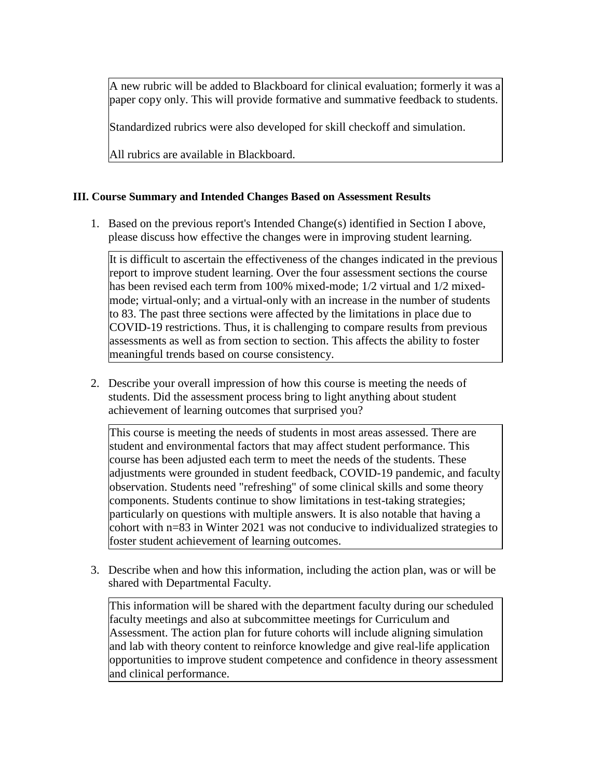A new rubric will be added to Blackboard for clinical evaluation; formerly it was a paper copy only. This will provide formative and summative feedback to students.

Standardized rubrics were also developed for skill checkoff and simulation.

All rubrics are available in Blackboard.

# **III. Course Summary and Intended Changes Based on Assessment Results**

1. Based on the previous report's Intended Change(s) identified in Section I above, please discuss how effective the changes were in improving student learning.

It is difficult to ascertain the effectiveness of the changes indicated in the previous report to improve student learning. Over the four assessment sections the course has been revised each term from 100% mixed-mode; 1/2 virtual and 1/2 mixedmode; virtual-only; and a virtual-only with an increase in the number of students to 83. The past three sections were affected by the limitations in place due to COVID-19 restrictions. Thus, it is challenging to compare results from previous assessments as well as from section to section. This affects the ability to foster meaningful trends based on course consistency.

2. Describe your overall impression of how this course is meeting the needs of students. Did the assessment process bring to light anything about student achievement of learning outcomes that surprised you?

This course is meeting the needs of students in most areas assessed. There are student and environmental factors that may affect student performance. This course has been adjusted each term to meet the needs of the students. These adjustments were grounded in student feedback, COVID-19 pandemic, and faculty observation. Students need "refreshing" of some clinical skills and some theory components. Students continue to show limitations in test-taking strategies; particularly on questions with multiple answers. It is also notable that having a cohort with n=83 in Winter 2021 was not conducive to individualized strategies to foster student achievement of learning outcomes.

3. Describe when and how this information, including the action plan, was or will be shared with Departmental Faculty.

This information will be shared with the department faculty during our scheduled faculty meetings and also at subcommittee meetings for Curriculum and Assessment. The action plan for future cohorts will include aligning simulation and lab with theory content to reinforce knowledge and give real-life application opportunities to improve student competence and confidence in theory assessment and clinical performance.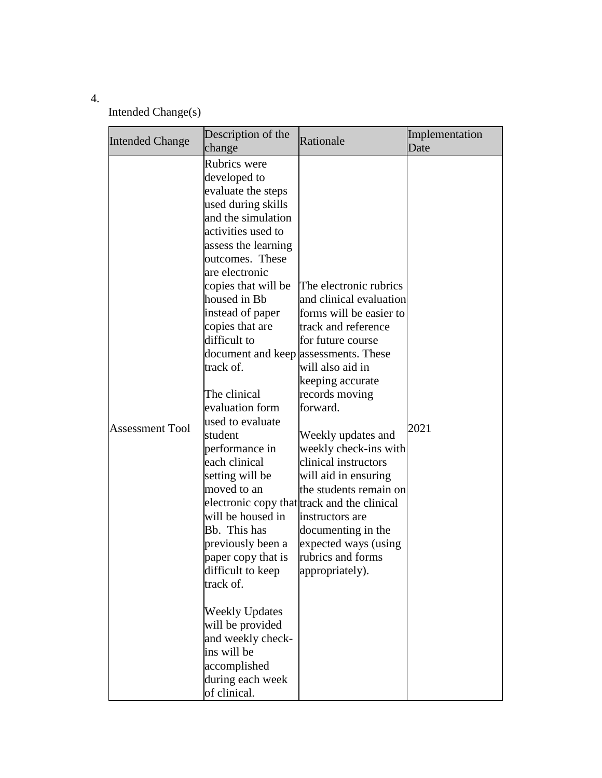# 4.

Intended Change(s)

| <b>Intended Change</b> | Description of the<br>change                                                                                                                                                                                                                                                                                                                                                                                                                                                                                                                                                                                                                                                                                                             | Rationale                                                                                                                                                                                                                                                                                                                                                                                                                                                                       | Implementation<br>Date |
|------------------------|------------------------------------------------------------------------------------------------------------------------------------------------------------------------------------------------------------------------------------------------------------------------------------------------------------------------------------------------------------------------------------------------------------------------------------------------------------------------------------------------------------------------------------------------------------------------------------------------------------------------------------------------------------------------------------------------------------------------------------------|---------------------------------------------------------------------------------------------------------------------------------------------------------------------------------------------------------------------------------------------------------------------------------------------------------------------------------------------------------------------------------------------------------------------------------------------------------------------------------|------------------------|
| <b>Assessment Tool</b> | <b>Rubrics</b> were<br>developed to<br>evaluate the steps<br>used during skills<br>and the simulation<br>activities used to<br>assess the learning<br>outcomes. These<br>are electronic<br>copies that will be<br>housed in Bb<br>instead of paper<br>copies that are<br>difficult to<br>document and keep assessments. These<br>track of.<br>The clinical<br>evaluation form<br>used to evaluate<br>student<br>performance in<br>each clinical<br>setting will be<br>moved to an<br>will be housed in<br>Bb. This has<br>previously been a<br>paper copy that is<br>difficult to keep<br>track of.<br><b>Weekly Updates</b><br>will be provided<br>and weekly check-<br>ins will be<br>accomplished<br>during each week<br>of clinical. | The electronic rubrics<br>and clinical evaluation<br>forms will be easier to<br>track and reference<br>for future course<br>will also aid in<br>keeping accurate<br>records moving<br>forward.<br>Weekly updates and<br>weekly check-ins with<br>clinical instructors<br>will aid in ensuring<br>the students remain on<br>electronic copy that track and the clinical<br>instructors are<br>documenting in the<br>expected ways (using<br>rubrics and forms<br>appropriately). | 2021                   |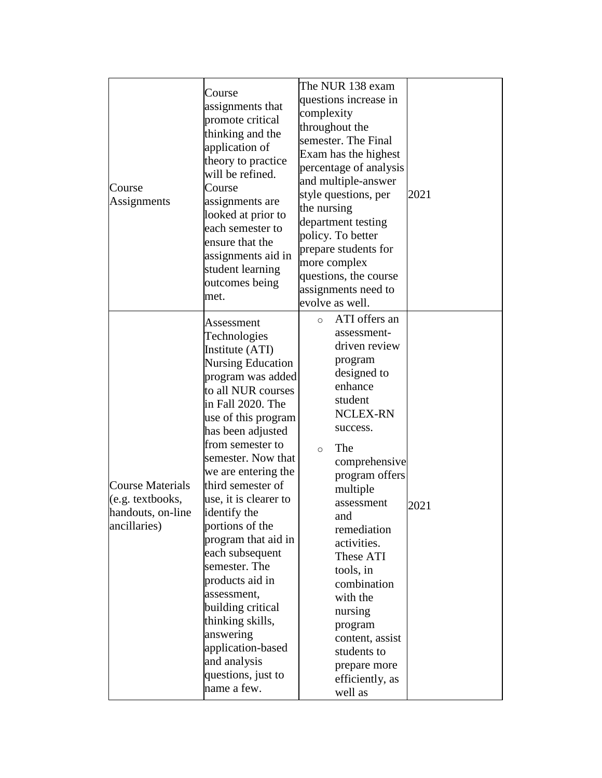| Course<br>Assignments                                                              | Course<br>assignments that<br>promote critical<br>thinking and the<br>application of<br>theory to practice<br>will be refined.<br>Course<br>assignments are<br>looked at prior to<br>each semester to<br>ensure that the<br>assignments aid in<br>student learning<br>outcomes being<br>met.                                                                                                                                                                                                                                                                         | The NUR 138 exam<br>questions increase in<br>complexity<br>throughout the<br>semester. The Final<br>Exam has the highest<br>percentage of analysis<br>and multiple-answer<br>style questions, per<br>the nursing<br>department testing<br>policy. To better<br>prepare students for<br>more complex<br>questions, the course<br>assignments need to<br>evolve as well.                                                 | 2021 |
|------------------------------------------------------------------------------------|----------------------------------------------------------------------------------------------------------------------------------------------------------------------------------------------------------------------------------------------------------------------------------------------------------------------------------------------------------------------------------------------------------------------------------------------------------------------------------------------------------------------------------------------------------------------|------------------------------------------------------------------------------------------------------------------------------------------------------------------------------------------------------------------------------------------------------------------------------------------------------------------------------------------------------------------------------------------------------------------------|------|
| Course Materials<br>$(e.g. \text{textbooks},$<br>handouts, on-line<br>ancillaries) | Assessment<br>Technologies<br>Institute (ATI)<br><b>Nursing Education</b><br>program was added<br>to all NUR courses<br>in Fall 2020. The<br>use of this program<br>has been adjusted<br>from semester to<br>semester. Now that<br>we are entering the<br>third semester of<br>use, it is clearer to<br>identify the<br>portions of the<br>program that aid in<br>each subsequent<br>semester. The<br>products aid in<br>assessment,<br>building critical<br>thinking skills,<br>answering<br>application-based<br>and analysis<br>questions, just to<br>name a few. | ATI offers an<br>$\circ$<br>assessment-<br>driven review<br>program<br>designed to<br>enhance<br>student<br><b>NCLEX-RN</b><br>success.<br>The<br>$\circ$<br>comprehensive<br>program offers<br>multiple<br>assessment<br>and<br>remediation<br>activities.<br>These ATI<br>tools, in<br>combination<br>with the<br>nursing<br>program<br>content, assist<br>students to<br>prepare more<br>efficiently, as<br>well as | 2021 |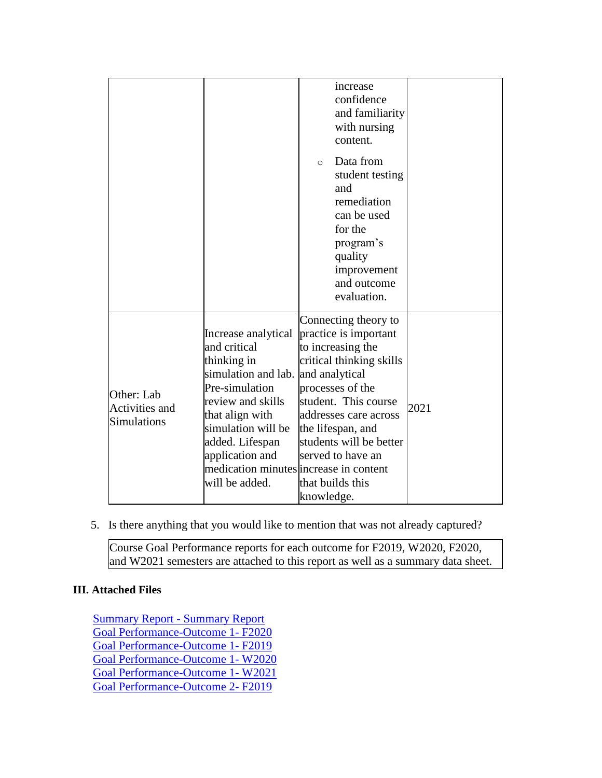|                                             |                                                                                                                                                                                                                                                             | increase<br>confidence<br>and familiarity<br>with nursing<br>content.                                                                                                                                                                                                                        |      |
|---------------------------------------------|-------------------------------------------------------------------------------------------------------------------------------------------------------------------------------------------------------------------------------------------------------------|----------------------------------------------------------------------------------------------------------------------------------------------------------------------------------------------------------------------------------------------------------------------------------------------|------|
|                                             |                                                                                                                                                                                                                                                             | Data from<br>$\circ$<br>student testing<br>and<br>remediation<br>can be used<br>for the<br>program's<br>quality<br>improvement<br>and outcome<br>evaluation.                                                                                                                                 |      |
| Other: Lab<br>Activities and<br>Simulations | Increase analytical<br>and critical<br>thinking in<br>simulation and lab.<br>Pre-simulation<br>review and skills<br>that align with<br>simulation will be<br>added. Lifespan<br>application and<br>medication minutes increase in content<br>will be added. | Connecting theory to<br>practice is important<br>to increasing the<br>critical thinking skills<br>and analytical<br>processes of the<br>student. This course<br>addresses care across<br>the lifespan, and<br>students will be better<br>served to have an<br>that builds this<br>knowledge. | 2021 |

5. Is there anything that you would like to mention that was not already captured?

Course Goal Performance reports for each outcome for F2019, W2020, F2020, and W2021 semesters are attached to this report as well as a summary data sheet.

# **III. Attached Files**

[Summary Report -](documents/Course%20Assessment%20Summary%20-%20NUR%20138%20-%20June%202021.xlsx) Summary Report [Goal Performance-Outcome 1-](documents/Goal%20Performance-Outcome%201-%20F2020.pdf) F2020 [Goal Performance-Outcome 1-](documents/Goal%20Performance-Outcome%201-%20F2019.pdf) F2019 [Goal Performance-Outcome 1-](documents/Goal%20Performance-Outcome%201-%20W2020.pdf) W2020 [Goal Performance-Outcome 1-](documents/Goal%20Performance-Outcome%201-%20W2021.pdf) W2021 [Goal Performance-Outcome 2-](documents/Goal%20Performance-Outcome%202-%20F2019.pdf) F2019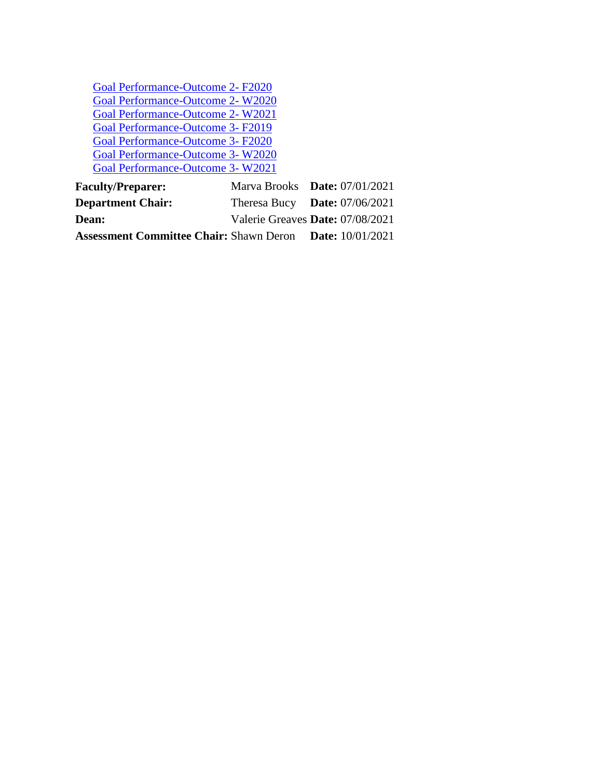| Goal Performance-Outcome 2- F2020 |
|-----------------------------------|
| Goal Performance-Outcome 2- W2020 |
| Goal Performance-Outcome 2- W2021 |
| Goal Performance-Outcome 3- F2019 |
| Goal Performance-Outcome 3- F2020 |
| Goal Performance-Outcome 3- W2020 |
| Goal Performance-Outcome 3- W2021 |

| <b>Faculty/Preparer:</b>                                        | Marva Brooks Date: 07/01/2021    |  |
|-----------------------------------------------------------------|----------------------------------|--|
| <b>Department Chair:</b>                                        | Theresa Bucy Date: $07/06/2021$  |  |
| Dean:                                                           | Valerie Greaves Date: 07/08/2021 |  |
| <b>Assessment Committee Chair: Shawn Deron Date: 10/01/2021</b> |                                  |  |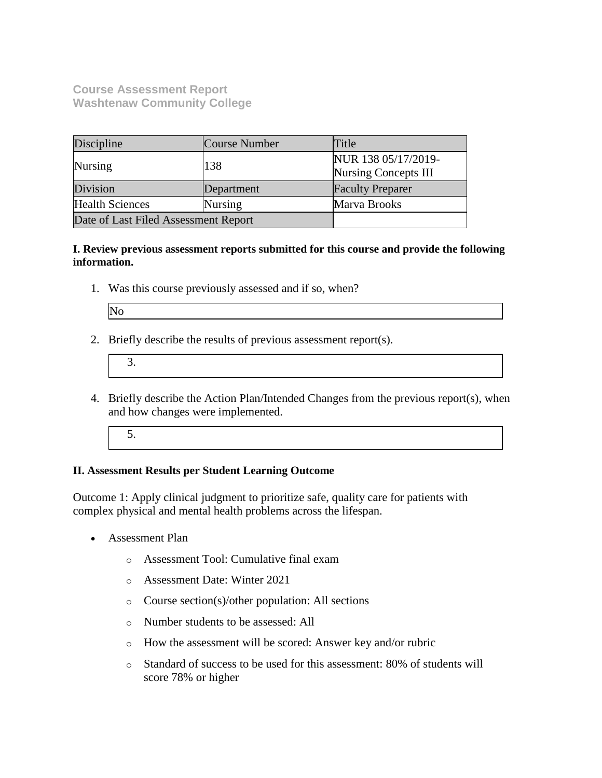**Course Assessment Report Washtenaw Community College**

| Discipline                           | Course Number | Title                                              |
|--------------------------------------|---------------|----------------------------------------------------|
| Nursing                              | 138           | NUR 138 05/17/2019-<br><b>Nursing Concepts III</b> |
| Division                             | Department    | <b>Faculty Preparer</b>                            |
| <b>Health Sciences</b>               | Nursing       | Marva Brooks                                       |
| Date of Last Filed Assessment Report |               |                                                    |

**I. Review previous assessment reports submitted for this course and provide the following information.**

1. Was this course previously assessed and if so, when?

| ۰.<br>٠<br>v |  |
|--------------|--|
|--------------|--|

2. Briefly describe the results of previous assessment report(s).

- 4. Briefly describe the Action Plan/Intended Changes from the previous report(s), when and how changes were implemented.
	- 5.

#### **II. Assessment Results per Student Learning Outcome**

Outcome 1: Apply clinical judgment to prioritize safe, quality care for patients with complex physical and mental health problems across the lifespan.

- Assessment Plan
	- o Assessment Tool: Cumulative final exam
	- o Assessment Date: Winter 2021
	- o Course section(s)/other population: All sections
	- o Number students to be assessed: All
	- o How the assessment will be scored: Answer key and/or rubric
	- o Standard of success to be used for this assessment: 80% of students will score 78% or higher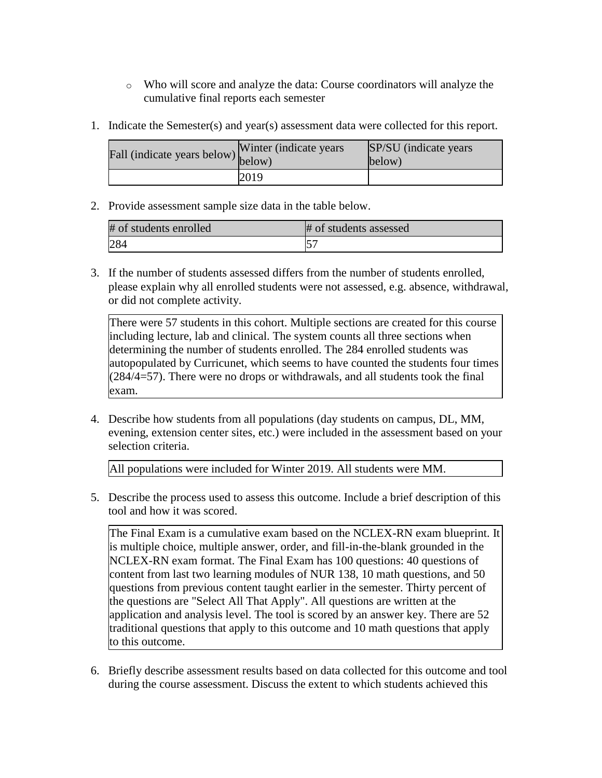- o Who will score and analyze the data: Course coordinators will analyze the cumulative final reports each semester
- 1. Indicate the Semester(s) and year(s) assessment data were collected for this report.

| Fall (indicate years below) below) | Winter (indicate years) | SP/SU (indicate years)<br>below) |
|------------------------------------|-------------------------|----------------------------------|
|                                    | 2019                    |                                  |

2. Provide assessment sample size data in the table below.

| # of students enrolled | # of students assessed |
|------------------------|------------------------|
| 284                    |                        |

3. If the number of students assessed differs from the number of students enrolled, please explain why all enrolled students were not assessed, e.g. absence, withdrawal, or did not complete activity.

There were 57 students in this cohort. Multiple sections are created for this course including lecture, lab and clinical. The system counts all three sections when determining the number of students enrolled. The 284 enrolled students was autopopulated by Curricunet, which seems to have counted the students four times (284/4=57). There were no drops or withdrawals, and all students took the final exam.

4. Describe how students from all populations (day students on campus, DL, MM, evening, extension center sites, etc.) were included in the assessment based on your selection criteria.

All populations were included for Winter 2019. All students were MM.

5. Describe the process used to assess this outcome. Include a brief description of this tool and how it was scored.

The Final Exam is a cumulative exam based on the NCLEX-RN exam blueprint. It is multiple choice, multiple answer, order, and fill-in-the-blank grounded in the NCLEX-RN exam format. The Final Exam has 100 questions: 40 questions of content from last two learning modules of NUR 138, 10 math questions, and 50 questions from previous content taught earlier in the semester. Thirty percent of the questions are "Select All That Apply". All questions are written at the application and analysis level. The tool is scored by an answer key. There are 52 traditional questions that apply to this outcome and 10 math questions that apply to this outcome.

6. Briefly describe assessment results based on data collected for this outcome and tool during the course assessment. Discuss the extent to which students achieved this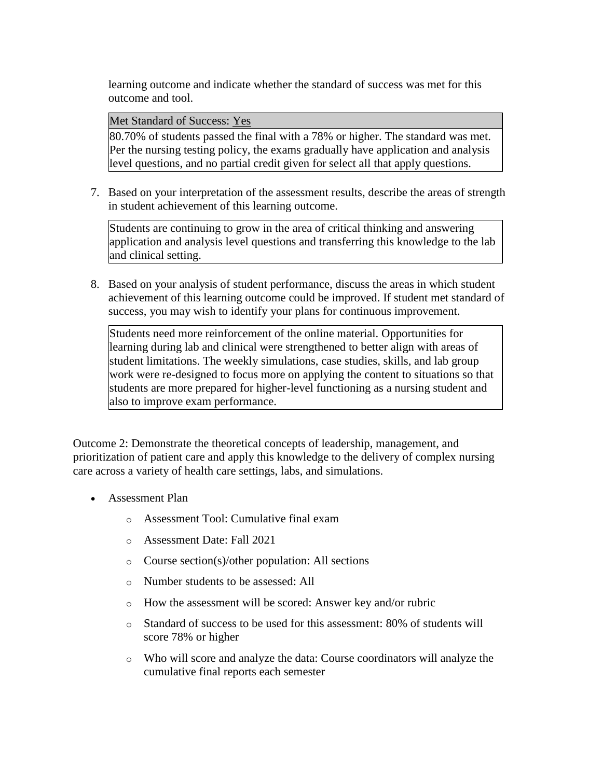learning outcome and indicate whether the standard of success was met for this outcome and tool.

Met Standard of Success: Yes

80.70% of students passed the final with a 78% or higher. The standard was met. Per the nursing testing policy, the exams gradually have application and analysis level questions, and no partial credit given for select all that apply questions.

7. Based on your interpretation of the assessment results, describe the areas of strength in student achievement of this learning outcome.

Students are continuing to grow in the area of critical thinking and answering application and analysis level questions and transferring this knowledge to the lab and clinical setting.

8. Based on your analysis of student performance, discuss the areas in which student achievement of this learning outcome could be improved. If student met standard of success, you may wish to identify your plans for continuous improvement.

Students need more reinforcement of the online material. Opportunities for learning during lab and clinical were strengthened to better align with areas of student limitations. The weekly simulations, case studies, skills, and lab group work were re-designed to focus more on applying the content to situations so that students are more prepared for higher-level functioning as a nursing student and also to improve exam performance.

Outcome 2: Demonstrate the theoretical concepts of leadership, management, and prioritization of patient care and apply this knowledge to the delivery of complex nursing care across a variety of health care settings, labs, and simulations.

- Assessment Plan
	- o Assessment Tool: Cumulative final exam
	- o Assessment Date: Fall 2021
	- o Course section(s)/other population: All sections
	- o Number students to be assessed: All
	- o How the assessment will be scored: Answer key and/or rubric
	- o Standard of success to be used for this assessment: 80% of students will score 78% or higher
	- o Who will score and analyze the data: Course coordinators will analyze the cumulative final reports each semester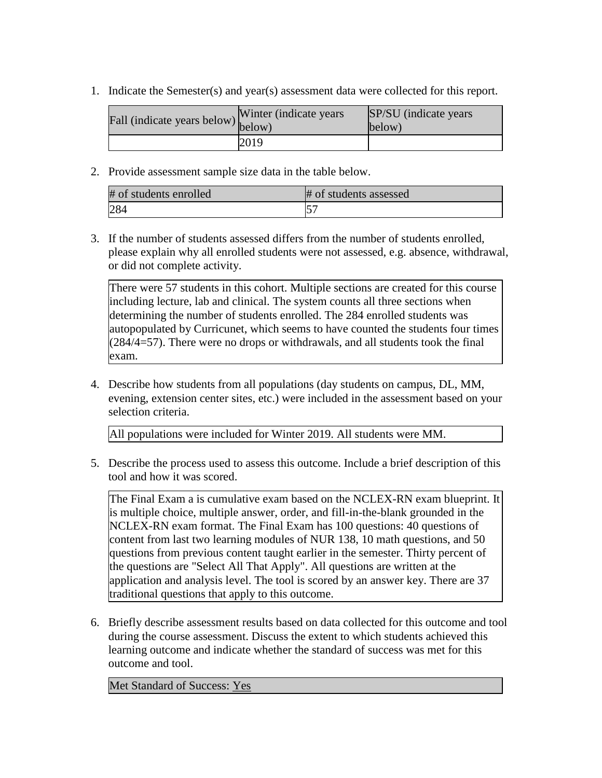1. Indicate the Semester(s) and year(s) assessment data were collected for this report.

| Fall (indicate years below) v mea (material) | Winter (indicate years) | SP/SU (indicate years)<br>below) |
|----------------------------------------------|-------------------------|----------------------------------|
|                                              | 2019                    |                                  |

2. Provide assessment sample size data in the table below.

| # of students enrolled | # of students assessed |
|------------------------|------------------------|
| 284                    |                        |

3. If the number of students assessed differs from the number of students enrolled, please explain why all enrolled students were not assessed, e.g. absence, withdrawal, or did not complete activity.

There were 57 students in this cohort. Multiple sections are created for this course including lecture, lab and clinical. The system counts all three sections when determining the number of students enrolled. The 284 enrolled students was autopopulated by Curricunet, which seems to have counted the students four times  $(284/4=57)$ . There were no drops or withdrawals, and all students took the final exam.

4. Describe how students from all populations (day students on campus, DL, MM, evening, extension center sites, etc.) were included in the assessment based on your selection criteria.

All populations were included for Winter 2019. All students were MM.

5. Describe the process used to assess this outcome. Include a brief description of this tool and how it was scored.

The Final Exam a is cumulative exam based on the NCLEX-RN exam blueprint. It is multiple choice, multiple answer, order, and fill-in-the-blank grounded in the NCLEX-RN exam format. The Final Exam has 100 questions: 40 questions of content from last two learning modules of NUR 138, 10 math questions, and 50 questions from previous content taught earlier in the semester. Thirty percent of the questions are "Select All That Apply". All questions are written at the application and analysis level. The tool is scored by an answer key. There are 37 traditional questions that apply to this outcome.

6. Briefly describe assessment results based on data collected for this outcome and tool during the course assessment. Discuss the extent to which students achieved this learning outcome and indicate whether the standard of success was met for this outcome and tool.

Met Standard of Success: Yes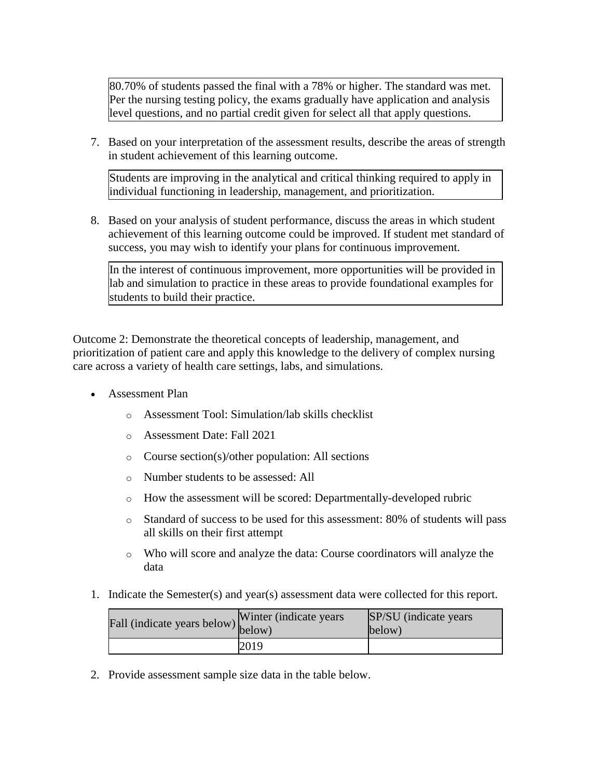80.70% of students passed the final with a 78% or higher. The standard was met. Per the nursing testing policy, the exams gradually have application and analysis level questions, and no partial credit given for select all that apply questions.

7. Based on your interpretation of the assessment results, describe the areas of strength in student achievement of this learning outcome.

Students are improving in the analytical and critical thinking required to apply in individual functioning in leadership, management, and prioritization.

8. Based on your analysis of student performance, discuss the areas in which student achievement of this learning outcome could be improved. If student met standard of success, you may wish to identify your plans for continuous improvement.

In the interest of continuous improvement, more opportunities will be provided in lab and simulation to practice in these areas to provide foundational examples for students to build their practice.

Outcome 2: Demonstrate the theoretical concepts of leadership, management, and prioritization of patient care and apply this knowledge to the delivery of complex nursing care across a variety of health care settings, labs, and simulations.

- Assessment Plan
	- o Assessment Tool: Simulation/lab skills checklist
	- o Assessment Date: Fall 2021
	- o Course section(s)/other population: All sections
	- o Number students to be assessed: All
	- o How the assessment will be scored: Departmentally-developed rubric
	- o Standard of success to be used for this assessment: 80% of students will pass all skills on their first attempt
	- o Who will score and analyze the data: Course coordinators will analyze the data
- 1. Indicate the Semester(s) and year(s) assessment data were collected for this report.

| rall (indicate years below) below) | Winter (indicate years) | SP/SU (indicate years)<br>below) |
|------------------------------------|-------------------------|----------------------------------|
|                                    | 2019                    |                                  |

2. Provide assessment sample size data in the table below.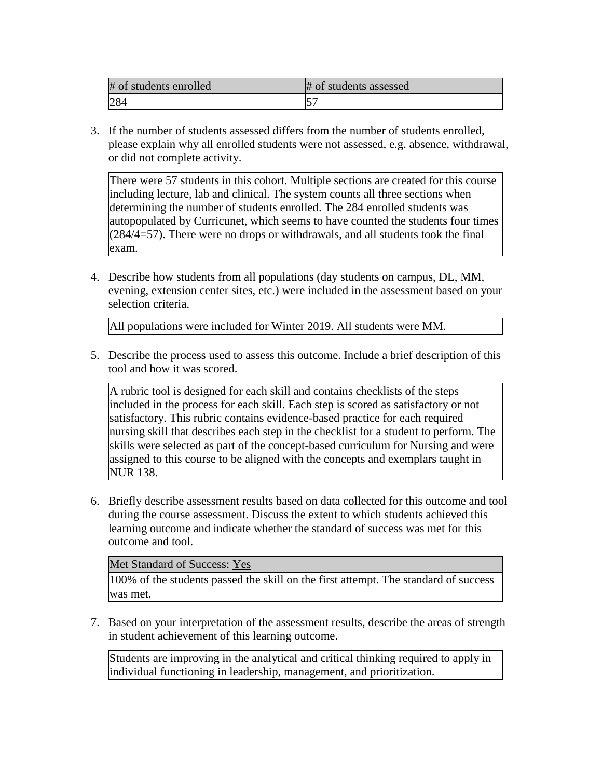| # of students enrolled | # of students assessed |
|------------------------|------------------------|
| 284                    |                        |

3. If the number of students assessed differs from the number of students enrolled, please explain why all enrolled students were not assessed, e.g. absence, withdrawal, or did not complete activity.

There were 57 students in this cohort. Multiple sections are created for this course including lecture, lab and clinical. The system counts all three sections when determining the number of students enrolled. The 284 enrolled students was autopopulated by Curricunet, which seems to have counted the students four times (284/4=57). There were no drops or withdrawals, and all students took the final exam.

4. Describe how students from all populations (day students on campus, DL, MM, evening, extension center sites, etc.) were included in the assessment based on your selection criteria.

All populations were included for Winter 2019. All students were MM.

5. Describe the process used to assess this outcome. Include a brief description of this tool and how it was scored.

A rubric tool is designed for each skill and contains checklists of the steps included in the process for each skill. Each step is scored as satisfactory or not satisfactory. This rubric contains evidence-based practice for each required nursing skill that describes each step in the checklist for a student to perform. The skills were selected as part of the concept-based curriculum for Nursing and were assigned to this course to be aligned with the concepts and exemplars taught in NUR 138.

6. Briefly describe assessment results based on data collected for this outcome and tool during the course assessment. Discuss the extent to which students achieved this learning outcome and indicate whether the standard of success was met for this outcome and tool.

Met Standard of Success: Yes

100% of the students passed the skill on the first attempt. The standard of success was met.

7. Based on your interpretation of the assessment results, describe the areas of strength in student achievement of this learning outcome.

Students are improving in the analytical and critical thinking required to apply in individual functioning in leadership, management, and prioritization.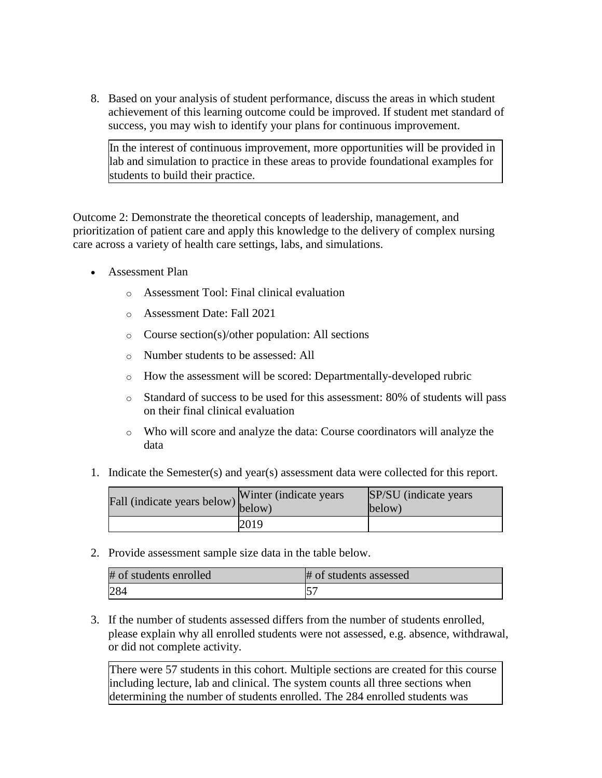8. Based on your analysis of student performance, discuss the areas in which student achievement of this learning outcome could be improved. If student met standard of success, you may wish to identify your plans for continuous improvement.

In the interest of continuous improvement, more opportunities will be provided in lab and simulation to practice in these areas to provide foundational examples for students to build their practice.

Outcome 2: Demonstrate the theoretical concepts of leadership, management, and prioritization of patient care and apply this knowledge to the delivery of complex nursing care across a variety of health care settings, labs, and simulations.

- Assessment Plan
	- o Assessment Tool: Final clinical evaluation
	- o Assessment Date: Fall 2021
	- o Course section(s)/other population: All sections
	- o Number students to be assessed: All
	- o How the assessment will be scored: Departmentally-developed rubric
	- o Standard of success to be used for this assessment: 80% of students will pass on their final clinical evaluation
	- o Who will score and analyze the data: Course coordinators will analyze the data
- 1. Indicate the Semester(s) and year(s) assessment data were collected for this report.

| Fall (indicate years below) below) | Winter (indicate years) | SP/SU (indicate years)<br>below) |
|------------------------------------|-------------------------|----------------------------------|
|                                    | 2019                    |                                  |

2. Provide assessment sample size data in the table below.

| # of students enrolled | # of students assessed |
|------------------------|------------------------|
| 284                    |                        |

3. If the number of students assessed differs from the number of students enrolled, please explain why all enrolled students were not assessed, e.g. absence, withdrawal, or did not complete activity.

There were 57 students in this cohort. Multiple sections are created for this course including lecture, lab and clinical. The system counts all three sections when determining the number of students enrolled. The 284 enrolled students was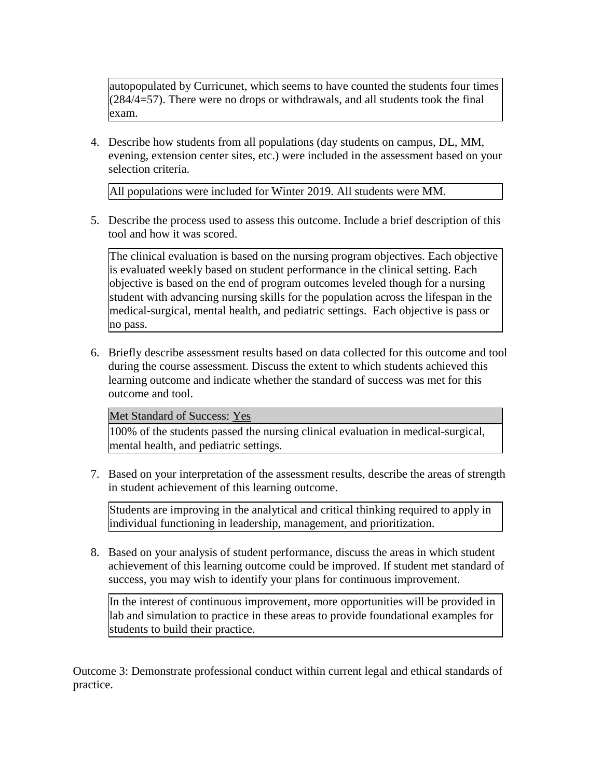autopopulated by Curricunet, which seems to have counted the students four times  $(284/4=57)$ . There were no drops or withdrawals, and all students took the final exam.

4. Describe how students from all populations (day students on campus, DL, MM, evening, extension center sites, etc.) were included in the assessment based on your selection criteria.

All populations were included for Winter 2019. All students were MM.

5. Describe the process used to assess this outcome. Include a brief description of this tool and how it was scored.

The clinical evaluation is based on the nursing program objectives. Each objective is evaluated weekly based on student performance in the clinical setting. Each objective is based on the end of program outcomes leveled though for a nursing student with advancing nursing skills for the population across the lifespan in the medical-surgical, mental health, and pediatric settings. Each objective is pass or no pass.

6. Briefly describe assessment results based on data collected for this outcome and tool during the course assessment. Discuss the extent to which students achieved this learning outcome and indicate whether the standard of success was met for this outcome and tool.

Met Standard of Success: Yes

100% of the students passed the nursing clinical evaluation in medical-surgical, mental health, and pediatric settings.

7. Based on your interpretation of the assessment results, describe the areas of strength in student achievement of this learning outcome.

Students are improving in the analytical and critical thinking required to apply in individual functioning in leadership, management, and prioritization.

8. Based on your analysis of student performance, discuss the areas in which student achievement of this learning outcome could be improved. If student met standard of success, you may wish to identify your plans for continuous improvement.

In the interest of continuous improvement, more opportunities will be provided in lab and simulation to practice in these areas to provide foundational examples for students to build their practice.

Outcome 3: Demonstrate professional conduct within current legal and ethical standards of practice.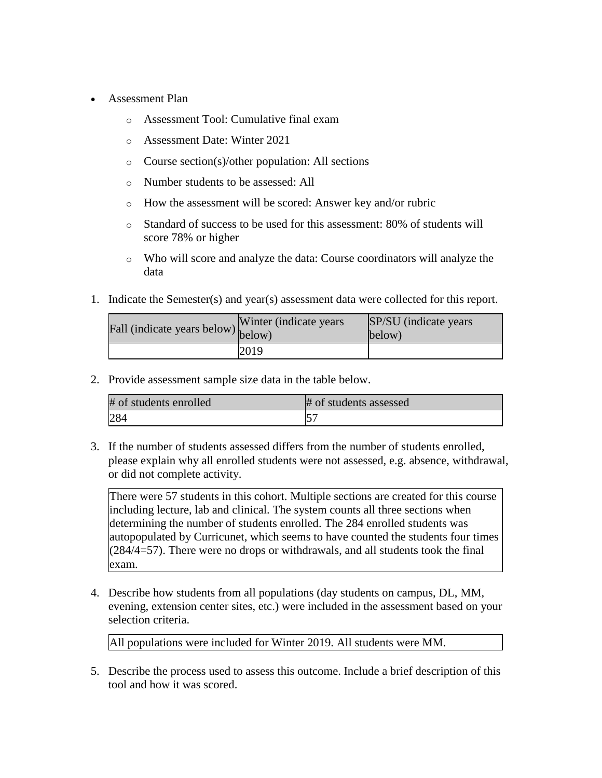- Assessment Plan
	- o Assessment Tool: Cumulative final exam
	- o Assessment Date: Winter 2021
	- o Course section(s)/other population: All sections
	- o Number students to be assessed: All
	- o How the assessment will be scored: Answer key and/or rubric
	- o Standard of success to be used for this assessment: 80% of students will score 78% or higher
	- o Who will score and analyze the data: Course coordinators will analyze the data
- 1. Indicate the Semester(s) and year(s) assessment data were collected for this report.

| Fall (indicate years below) below) | Winter (indicate years) | SP/SU (indicate years)<br>below) |
|------------------------------------|-------------------------|----------------------------------|
|                                    | 2019                    |                                  |

2. Provide assessment sample size data in the table below.

| # of students enrolled | # of students assessed |
|------------------------|------------------------|
| 284                    |                        |

3. If the number of students assessed differs from the number of students enrolled, please explain why all enrolled students were not assessed, e.g. absence, withdrawal, or did not complete activity.

There were 57 students in this cohort. Multiple sections are created for this course including lecture, lab and clinical. The system counts all three sections when determining the number of students enrolled. The 284 enrolled students was autopopulated by Curricunet, which seems to have counted the students four times (284/4=57). There were no drops or withdrawals, and all students took the final exam.

4. Describe how students from all populations (day students on campus, DL, MM, evening, extension center sites, etc.) were included in the assessment based on your selection criteria.

All populations were included for Winter 2019. All students were MM.

5. Describe the process used to assess this outcome. Include a brief description of this tool and how it was scored.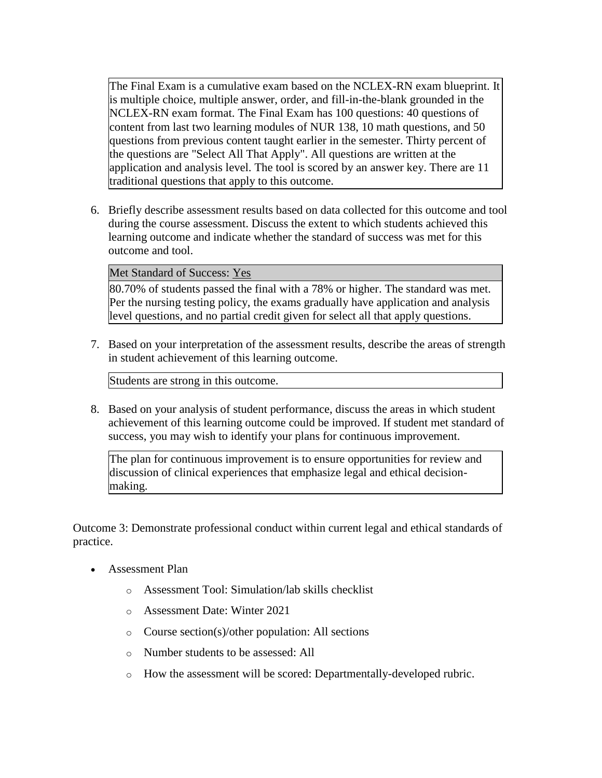The Final Exam is a cumulative exam based on the NCLEX-RN exam blueprint. It is multiple choice, multiple answer, order, and fill-in-the-blank grounded in the NCLEX-RN exam format. The Final Exam has 100 questions: 40 questions of content from last two learning modules of NUR 138, 10 math questions, and 50 questions from previous content taught earlier in the semester. Thirty percent of the questions are "Select All That Apply". All questions are written at the application and analysis level. The tool is scored by an answer key. There are 11 traditional questions that apply to this outcome.

6. Briefly describe assessment results based on data collected for this outcome and tool during the course assessment. Discuss the extent to which students achieved this learning outcome and indicate whether the standard of success was met for this outcome and tool.

Met Standard of Success: Yes

80.70% of students passed the final with a 78% or higher. The standard was met. Per the nursing testing policy, the exams gradually have application and analysis level questions, and no partial credit given for select all that apply questions.

7. Based on your interpretation of the assessment results, describe the areas of strength in student achievement of this learning outcome.

Students are strong in this outcome.

8. Based on your analysis of student performance, discuss the areas in which student achievement of this learning outcome could be improved. If student met standard of success, you may wish to identify your plans for continuous improvement.

The plan for continuous improvement is to ensure opportunities for review and discussion of clinical experiences that emphasize legal and ethical decisionmaking.

Outcome 3: Demonstrate professional conduct within current legal and ethical standards of practice.

- Assessment Plan
	- o Assessment Tool: Simulation/lab skills checklist
	- o Assessment Date: Winter 2021
	- o Course section(s)/other population: All sections
	- o Number students to be assessed: All
	- o How the assessment will be scored: Departmentally-developed rubric.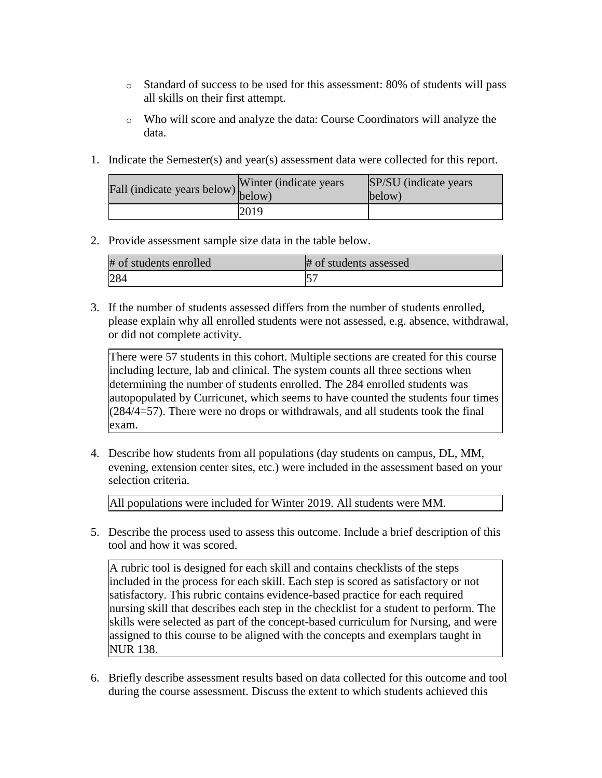- o Standard of success to be used for this assessment: 80% of students will pass all skills on their first attempt.
- o Who will score and analyze the data: Course Coordinators will analyze the data.
- 1. Indicate the Semester(s) and year(s) assessment data were collected for this report.

| Fall (indicate years below) $\begin{bmatrix}$ w line | Winter (indicate years) | SP/SU (indicate years)<br>below) |
|------------------------------------------------------|-------------------------|----------------------------------|
|                                                      | 2019                    |                                  |

2. Provide assessment sample size data in the table below.

| # of students enrolled | # of students assessed |
|------------------------|------------------------|
| 284                    |                        |

3. If the number of students assessed differs from the number of students enrolled, please explain why all enrolled students were not assessed, e.g. absence, withdrawal, or did not complete activity.

There were 57 students in this cohort. Multiple sections are created for this course including lecture, lab and clinical. The system counts all three sections when determining the number of students enrolled. The 284 enrolled students was autopopulated by Curricunet, which seems to have counted the students four times (284/4=57). There were no drops or withdrawals, and all students took the final exam.

4. Describe how students from all populations (day students on campus, DL, MM, evening, extension center sites, etc.) were included in the assessment based on your selection criteria.

All populations were included for Winter 2019. All students were MM.

5. Describe the process used to assess this outcome. Include a brief description of this tool and how it was scored.

A rubric tool is designed for each skill and contains checklists of the steps included in the process for each skill. Each step is scored as satisfactory or not satisfactory. This rubric contains evidence-based practice for each required nursing skill that describes each step in the checklist for a student to perform. The skills were selected as part of the concept-based curriculum for Nursing, and were assigned to this course to be aligned with the concepts and exemplars taught in NUR 138.

6. Briefly describe assessment results based on data collected for this outcome and tool during the course assessment. Discuss the extent to which students achieved this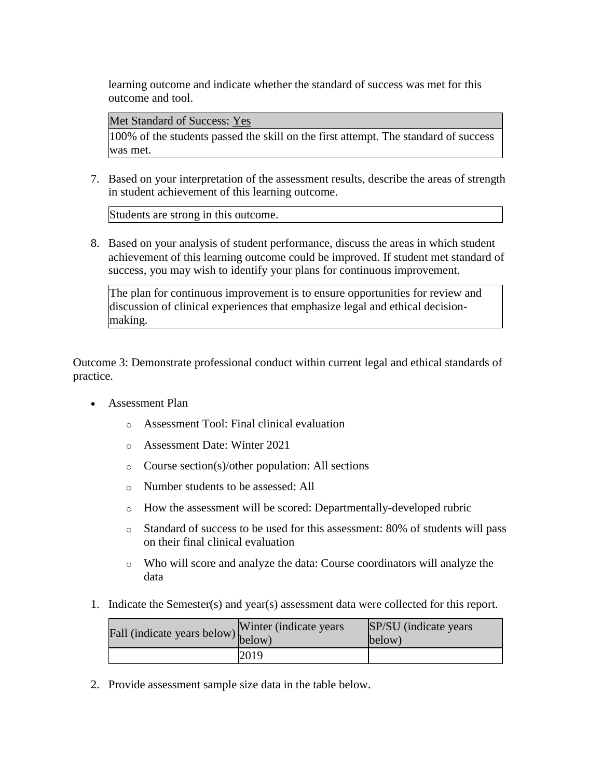learning outcome and indicate whether the standard of success was met for this outcome and tool.

Met Standard of Success: Yes

100% of the students passed the skill on the first attempt. The standard of success was met.

7. Based on your interpretation of the assessment results, describe the areas of strength in student achievement of this learning outcome.

Students are strong in this outcome.

8. Based on your analysis of student performance, discuss the areas in which student achievement of this learning outcome could be improved. If student met standard of success, you may wish to identify your plans for continuous improvement.

The plan for continuous improvement is to ensure opportunities for review and discussion of clinical experiences that emphasize legal and ethical decisionmaking.

Outcome 3: Demonstrate professional conduct within current legal and ethical standards of practice.

- Assessment Plan
	- o Assessment Tool: Final clinical evaluation
	- o Assessment Date: Winter 2021
	- o Course section(s)/other population: All sections
	- o Number students to be assessed: All
	- o How the assessment will be scored: Departmentally-developed rubric
	- o Standard of success to be used for this assessment: 80% of students will pass on their final clinical evaluation
	- o Who will score and analyze the data: Course coordinators will analyze the data
- 1. Indicate the Semester(s) and year(s) assessment data were collected for this report.

| rall (indicate years below) below) | Winter (indicate years) | SP/SU (indicate years)<br>below) |
|------------------------------------|-------------------------|----------------------------------|
|                                    | 2019                    |                                  |

2. Provide assessment sample size data in the table below.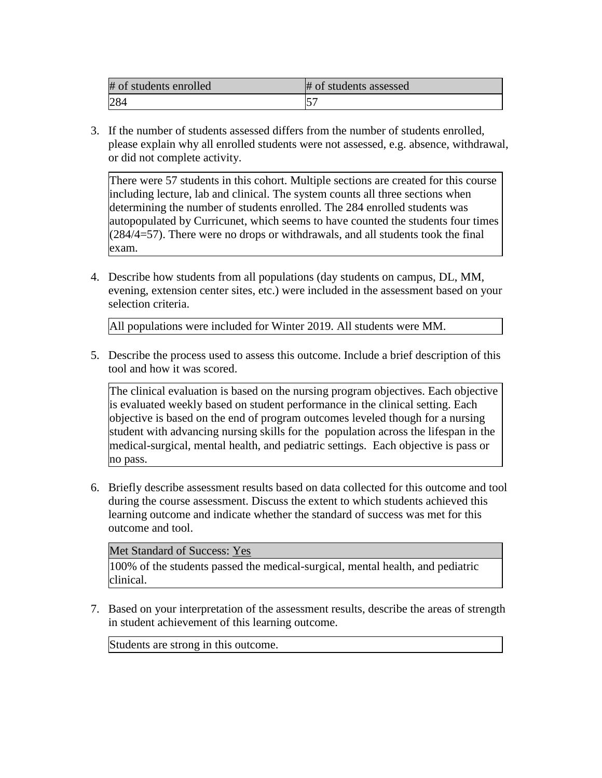| # of students enrolled | # of students assessed |
|------------------------|------------------------|
| 284                    |                        |

3. If the number of students assessed differs from the number of students enrolled, please explain why all enrolled students were not assessed, e.g. absence, withdrawal, or did not complete activity.

There were 57 students in this cohort. Multiple sections are created for this course including lecture, lab and clinical. The system counts all three sections when determining the number of students enrolled. The 284 enrolled students was autopopulated by Curricunet, which seems to have counted the students four times (284/4=57). There were no drops or withdrawals, and all students took the final exam.

4. Describe how students from all populations (day students on campus, DL, MM, evening, extension center sites, etc.) were included in the assessment based on your selection criteria.

All populations were included for Winter 2019. All students were MM.

5. Describe the process used to assess this outcome. Include a brief description of this tool and how it was scored.

The clinical evaluation is based on the nursing program objectives. Each objective is evaluated weekly based on student performance in the clinical setting. Each objective is based on the end of program outcomes leveled though for a nursing student with advancing nursing skills for the population across the lifespan in the medical-surgical, mental health, and pediatric settings. Each objective is pass or no pass.

6. Briefly describe assessment results based on data collected for this outcome and tool during the course assessment. Discuss the extent to which students achieved this learning outcome and indicate whether the standard of success was met for this outcome and tool.

Met Standard of Success: Yes

100% of the students passed the medical-surgical, mental health, and pediatric clinical.

7. Based on your interpretation of the assessment results, describe the areas of strength in student achievement of this learning outcome.

Students are strong in this outcome.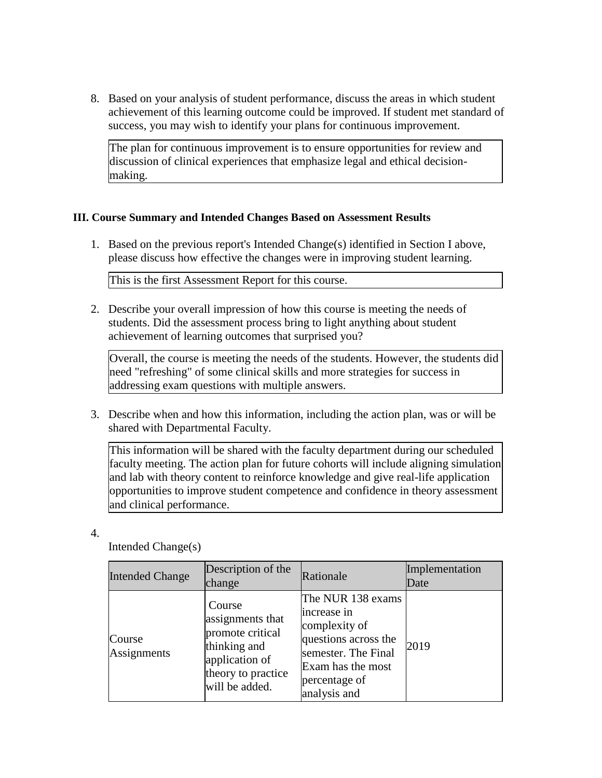8. Based on your analysis of student performance, discuss the areas in which student achievement of this learning outcome could be improved. If student met standard of success, you may wish to identify your plans for continuous improvement.

The plan for continuous improvement is to ensure opportunities for review and discussion of clinical experiences that emphasize legal and ethical decisionmaking.

### **III. Course Summary and Intended Changes Based on Assessment Results**

1. Based on the previous report's Intended Change(s) identified in Section I above, please discuss how effective the changes were in improving student learning.

This is the first Assessment Report for this course.

2. Describe your overall impression of how this course is meeting the needs of students. Did the assessment process bring to light anything about student achievement of learning outcomes that surprised you?

Overall, the course is meeting the needs of the students. However, the students did need "refreshing" of some clinical skills and more strategies for success in addressing exam questions with multiple answers.

3. Describe when and how this information, including the action plan, was or will be shared with Departmental Faculty.

This information will be shared with the faculty department during our scheduled faculty meeting. The action plan for future cohorts will include aligning simulation and lab with theory content to reinforce knowledge and give real-life application opportunities to improve student competence and confidence in theory assessment and clinical performance.

4.

Intended Change(s)

| <b>Intended Change</b> | Description of the<br>change                                                                                             | Rationale                                                                                                                                              | Implementation<br>Date |
|------------------------|--------------------------------------------------------------------------------------------------------------------------|--------------------------------------------------------------------------------------------------------------------------------------------------------|------------------------|
| Course<br>Assignments  | Course<br>assignments that<br>promote critical<br>thinking and<br>application of<br>theory to practice<br>will be added. | The NUR 138 exams<br>increase in<br>complexity of<br>questions across the<br>semester. The Final<br>Exam has the most<br>percentage of<br>analysis and | 2019                   |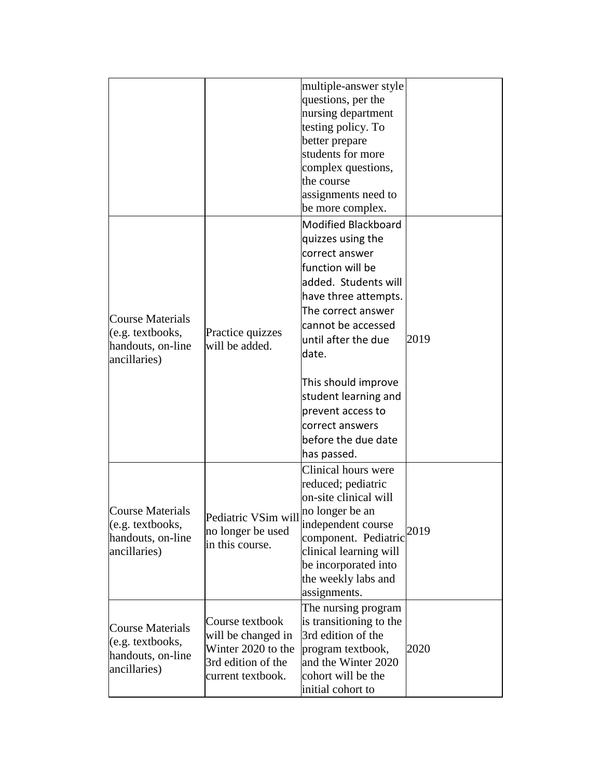|                                                                                  |                                                                                                        | multiple-answer style<br>questions, per the<br>nursing department<br>testing policy. To<br>better prepare<br>students for more<br>complex questions,<br>the course<br>assignments need to<br>be more complex.                                                                                                                                  |      |
|----------------------------------------------------------------------------------|--------------------------------------------------------------------------------------------------------|------------------------------------------------------------------------------------------------------------------------------------------------------------------------------------------------------------------------------------------------------------------------------------------------------------------------------------------------|------|
| <b>Course Materials</b><br>(e.g. textbooks,<br>handouts, on-line<br>ancillaries) | Practice quizzes<br>will be added.                                                                     | <b>Modified Blackboard</b><br>quizzes using the<br>correct answer<br>function will be<br>added. Students will<br>have three attempts.<br>The correct answer<br>cannot be accessed<br>until after the due<br>date.<br>This should improve<br>student learning and<br>prevent access to<br>correct answers<br>before the due date<br>has passed. | 2019 |
| <b>Course Materials</b><br>(e.g. textbooks,<br>handouts, on-line<br>ancillaries) | Pediatric VSim will no longer be an<br>no longer be used<br>in this course.                            | Clinical hours were<br>reduced; pediatric<br>on-site clinical will<br>independent course<br>component. Pediatric<br>clinical learning will<br>be incorporated into<br>the weekly labs and<br>assignments.                                                                                                                                      | 2019 |
| <b>Course Materials</b><br>(e.g. textbooks,<br>handouts, on-line<br>ancillaries) | Course textbook<br>will be changed in<br>Winter 2020 to the<br>3rd edition of the<br>current textbook. | The nursing program<br>is transitioning to the<br>3rd edition of the<br>program textbook,<br>and the Winter 2020<br>cohort will be the<br>initial cohort to                                                                                                                                                                                    | 2020 |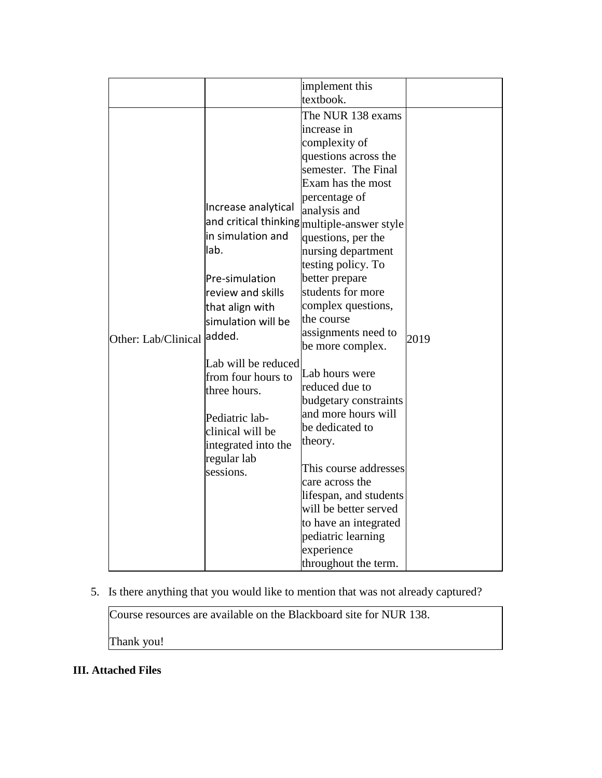|                     |                                                                                                                                                                                                                                                                                                  | implement this<br>textbook.                                                                                                                                                                                                                                                                                                                                                                                                                                                                                                                                                                                                                                                                 |      |
|---------------------|--------------------------------------------------------------------------------------------------------------------------------------------------------------------------------------------------------------------------------------------------------------------------------------------------|---------------------------------------------------------------------------------------------------------------------------------------------------------------------------------------------------------------------------------------------------------------------------------------------------------------------------------------------------------------------------------------------------------------------------------------------------------------------------------------------------------------------------------------------------------------------------------------------------------------------------------------------------------------------------------------------|------|
| Other: Lab/Clinical | Increase analytical<br>in simulation and<br>lab.<br>Pre-simulation<br>review and skills<br>that align with<br>simulation will be<br>added.<br>Lab will be reduced<br>from four hours to<br>three hours.<br>Pediatric lab-<br>clinical will be<br>integrated into the<br>regular lab<br>sessions. | The NUR 138 exams<br>increase in<br>complexity of<br>questions across the<br>semester. The Final<br>Exam has the most<br>percentage of<br>analysis and<br>and critical thinking $ {\rm multiple\mbox{-}answer}$ style<br>questions, per the<br>nursing department<br>testing policy. To<br>better prepare<br>students for more<br>complex questions,<br>the course<br>assignments need to<br>be more complex.<br>Lab hours were<br>reduced due to<br>budgetary constraints<br>and more hours will<br>be dedicated to<br>theory.<br>This course addresses<br>care across the<br>lifespan, and students<br>will be better served<br>to have an integrated<br>pediatric learning<br>experience | 2019 |
|                     |                                                                                                                                                                                                                                                                                                  | throughout the term.                                                                                                                                                                                                                                                                                                                                                                                                                                                                                                                                                                                                                                                                        |      |

5. Is there anything that you would like to mention that was not already captured?

Course resources are available on the Blackboard site for NUR 138. Thank you!

# **III. Attached Files**